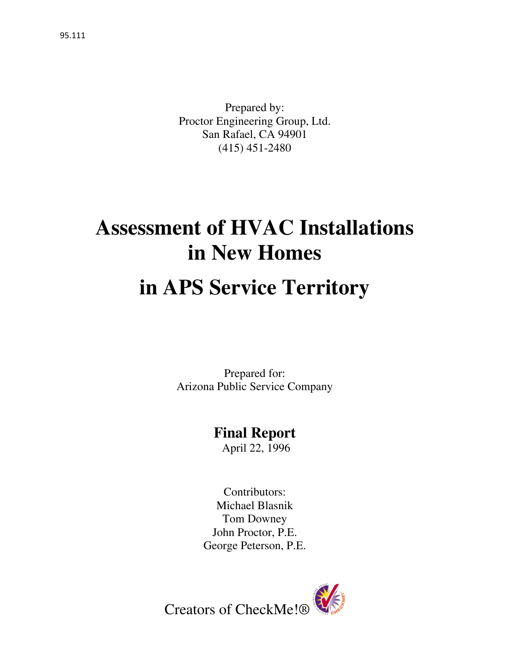Prepared by: Proctor Engineering Group, Ltd. San Rafael, CA 94901 (415) 451-2480

# **Assessment of HVAC Installations in New Homes**

# **in APS Service Territory**

Prepared for: Arizona Public Service Company

# **Final Report**

April 22, 1996

Contributors: Michael Blasnik Tom Downey John Proctor, P.E. George Peterson, P.E.

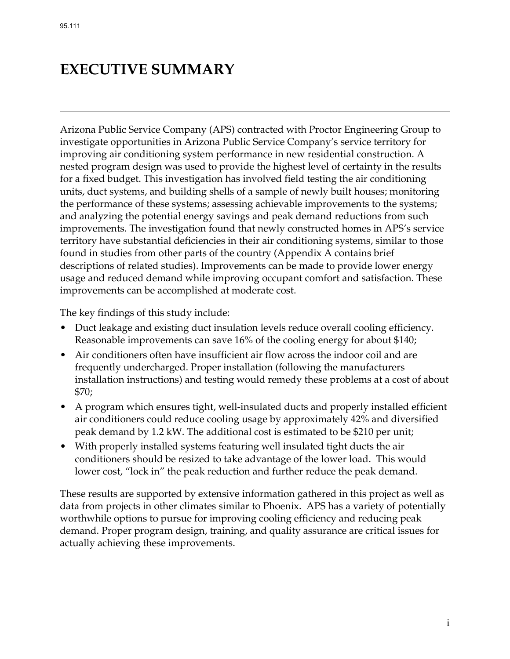# **EXECUTIVE SUMMARY**

Arizona Public Service Company (APS) contracted with Proctor Engineering Group to investigate opportunities in Arizona Public Service Company's service territory for improving air conditioning system performance in new residential construction. A nested program design was used to provide the highest level of certainty in the results for a fixed budget. This investigation has involved field testing the air conditioning units, duct systems, and building shells of a sample of newly built houses; monitoring the performance of these systems; assessing achievable improvements to the systems; and analyzing the potential energy savings and peak demand reductions from such improvements. The investigation found that newly constructed homes in APS's service territory have substantial deficiencies in their air conditioning systems, similar to those found in studies from other parts of the country (Appendix A contains brief descriptions of related studies). Improvements can be made to provide lower energy usage and reduced demand while improving occupant comfort and satisfaction. These improvements can be accomplished at moderate cost.

The key findings of this study include:

- Duct leakage and existing duct insulation levels reduce overall cooling efficiency. Reasonable improvements can save 16% of the cooling energy for about \$140;
- Air conditioners often have insufficient air flow across the indoor coil and are frequently undercharged. Proper installation (following the manufacturers installation instructions) and testing would remedy these problems at a cost of about \$70;
- A program which ensures tight, well-insulated ducts and properly installed efficient air conditioners could reduce cooling usage by approximately 42% and diversified peak demand by 1.2 kW. The additional cost is estimated to be \$210 per unit;
- With properly installed systems featuring well insulated tight ducts the air conditioners should be resized to take advantage of the lower load. This would lower cost, "lock in" the peak reduction and further reduce the peak demand.

These results are supported by extensive information gathered in this project as well as data from projects in other climates similar to Phoenix. APS has a variety of potentially worthwhile options to pursue for improving cooling efficiency and reducing peak demand. Proper program design, training, and quality assurance are critical issues for actually achieving these improvements.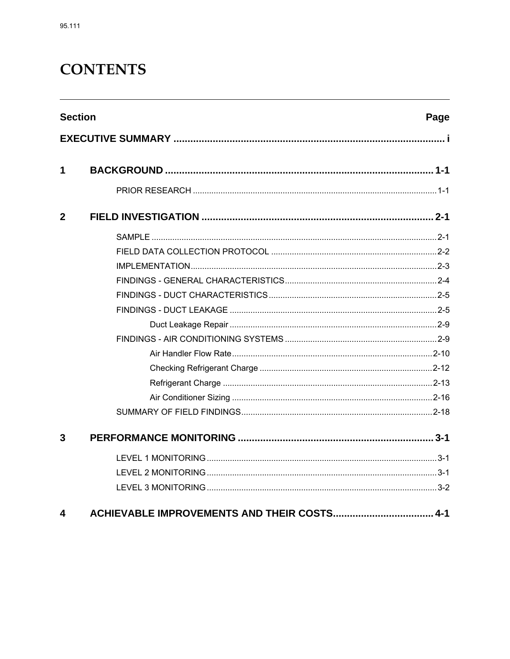# **CONTENTS**

| <b>Section</b> | Page |
|----------------|------|
|                |      |
| 1              |      |
|                |      |
| $\mathbf{2}$   |      |
|                |      |
|                |      |
|                |      |
|                |      |
|                |      |
|                |      |
|                |      |
|                |      |
|                |      |
|                |      |
|                |      |
|                |      |
|                |      |
| 3              |      |
|                |      |
|                |      |
|                |      |
| 4              |      |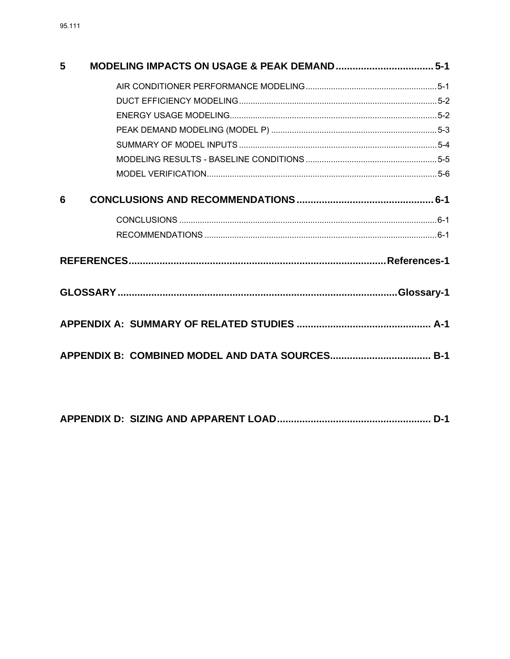| 5 |  |
|---|--|
|   |  |
|   |  |
|   |  |
|   |  |
|   |  |
|   |  |
|   |  |
| 6 |  |
|   |  |
|   |  |
|   |  |
|   |  |
|   |  |
|   |  |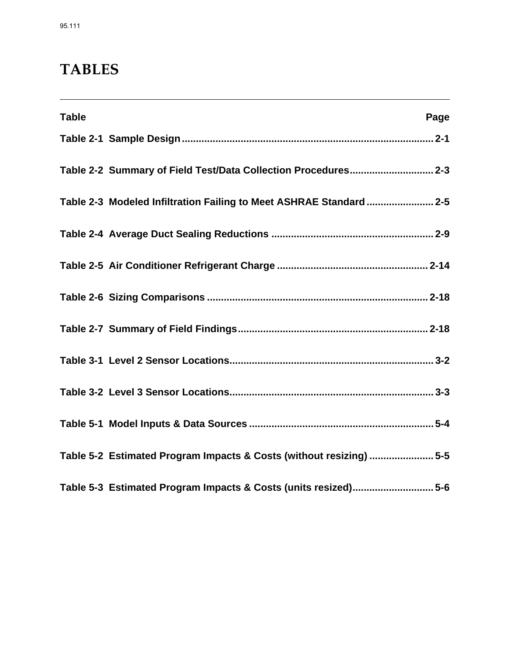# **TABLES**

| <b>Table</b> | Page                                                                |
|--------------|---------------------------------------------------------------------|
|              |                                                                     |
|              | Table 2-2 Summary of Field Test/Data Collection Procedures 2-3      |
|              | Table 2-3 Modeled Infiltration Failing to Meet ASHRAE Standard  2-5 |
|              |                                                                     |
|              |                                                                     |
|              |                                                                     |
|              |                                                                     |
|              |                                                                     |
|              |                                                                     |
|              |                                                                     |
|              | Table 5-2 Estimated Program Impacts & Costs (without resizing)  5-5 |
|              | Table 5-3 Estimated Program Impacts & Costs (units resized)5-6      |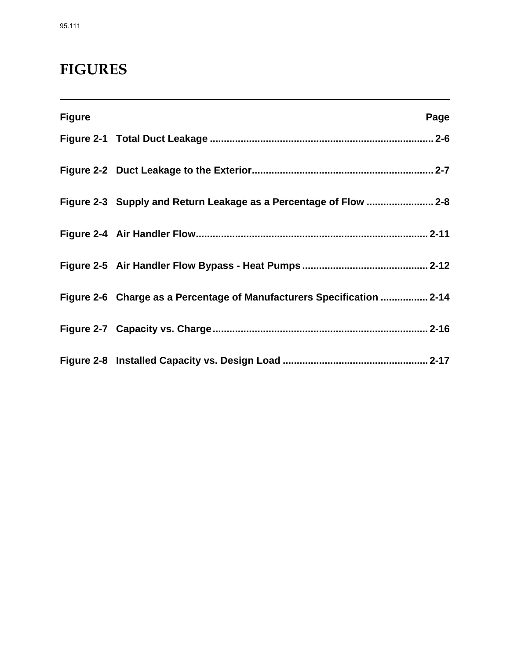# **FIGURES**

| <b>Figure</b> | Page                                                                   |
|---------------|------------------------------------------------------------------------|
|               |                                                                        |
|               |                                                                        |
|               |                                                                        |
|               |                                                                        |
|               |                                                                        |
|               | Figure 2-6 Charge as a Percentage of Manufacturers Specification  2-14 |
|               |                                                                        |
|               |                                                                        |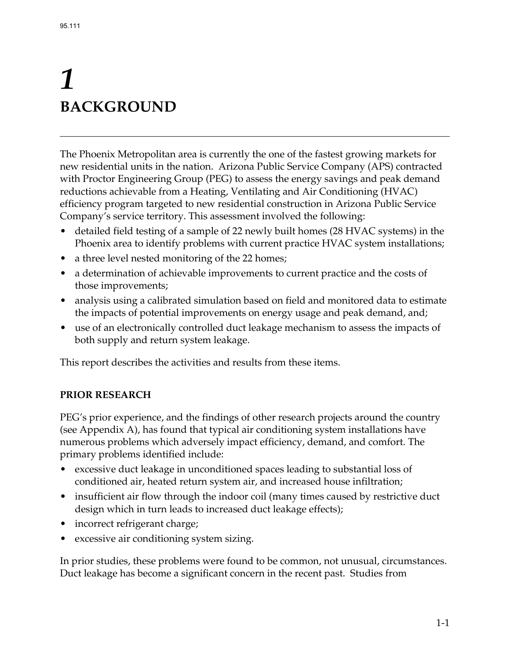# *1*  **BACKGROUND**

The Phoenix Metropolitan area is currently the one of the fastest growing markets for new residential units in the nation. Arizona Public Service Company (APS) contracted with Proctor Engineering Group (PEG) to assess the energy savings and peak demand reductions achievable from a Heating, Ventilating and Air Conditioning (HVAC) efficiency program targeted to new residential construction in Arizona Public Service Company's service territory. This assessment involved the following:

- detailed field testing of a sample of 22 newly built homes (28 HVAC systems) in the Phoenix area to identify problems with current practice HVAC system installations;
- a three level nested monitoring of the 22 homes;
- a determination of achievable improvements to current practice and the costs of those improvements;
- analysis using a calibrated simulation based on field and monitored data to estimate the impacts of potential improvements on energy usage and peak demand, and;
- use of an electronically controlled duct leakage mechanism to assess the impacts of both supply and return system leakage.

This report describes the activities and results from these items.

#### **PRIOR RESEARCH**

PEG's prior experience, and the findings of other research projects around the country (see Appendix A), has found that typical air conditioning system installations have numerous problems which adversely impact efficiency, demand, and comfort. The primary problems identified include:

- excessive duct leakage in unconditioned spaces leading to substantial loss of conditioned air, heated return system air, and increased house infiltration;
- insufficient air flow through the indoor coil (many times caused by restrictive duct design which in turn leads to increased duct leakage effects);
- incorrect refrigerant charge;
- excessive air conditioning system sizing.

In prior studies, these problems were found to be common, not unusual, circumstances. Duct leakage has become a significant concern in the recent past. Studies from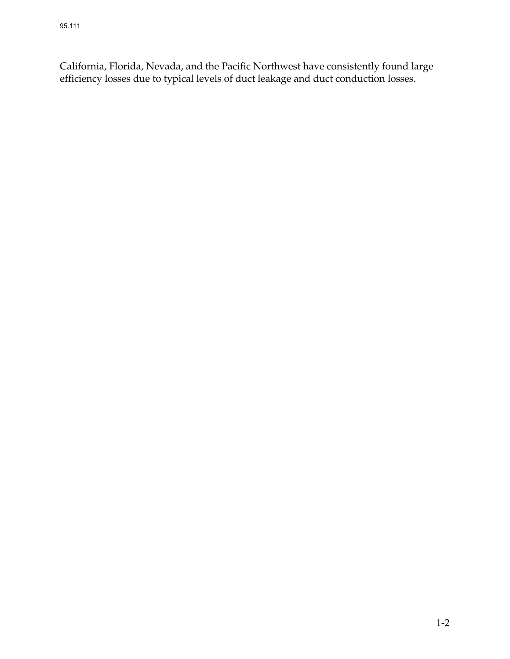California, Florida, Nevada, and the Pacific Northwest have consistently found large efficiency losses due to typical levels of duct leakage and duct conduction losses.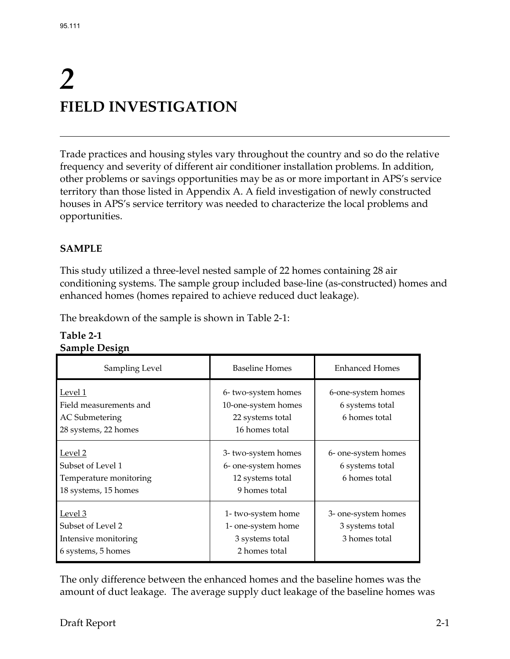# *2*  **FIELD INVESTIGATION**

Trade practices and housing styles vary throughout the country and so do the relative frequency and severity of different air conditioner installation problems. In addition, other problems or savings opportunities may be as or more important in APS's service territory than those listed in Appendix A. A field investigation of newly constructed houses in APS's service territory was needed to characterize the local problems and opportunities.

# **SAMPLE**

This study utilized a three-level nested sample of 22 homes containing 28 air conditioning systems. The sample group included base-line (as-constructed) homes and enhanced homes (homes repaired to achieve reduced duct leakage).

The breakdown of the sample is shown in Table 2-1:

| Sampling Level                                                                     | <b>Baseline Homes</b>                                                           | <b>Enhanced Homes</b>                                   |
|------------------------------------------------------------------------------------|---------------------------------------------------------------------------------|---------------------------------------------------------|
| Level 1<br>Field measurements and<br><b>AC</b> Submetering<br>28 systems, 22 homes | 6-two-system homes<br>10-one-system homes<br>22 systems total<br>16 homes total | 6-one-system homes<br>6 systems total<br>6 homes total  |
| Level 2<br>Subset of Level 1<br>Temperature monitoring<br>18 systems, 15 homes     | 3-two-system homes<br>6- one-system homes<br>12 systems total<br>9 homes total  | 6- one-system homes<br>6 systems total<br>6 homes total |
| Level 3<br>Subset of Level 2<br>Intensive monitoring<br>6 systems, 5 homes         | 1- two-system home<br>1- one-system home<br>3 systems total<br>2 homes total    | 3- one-system homes<br>3 systems total<br>3 homes total |

#### **Table 2-1 Sample Design**

The only difference between the enhanced homes and the baseline homes was the amount of duct leakage. The average supply duct leakage of the baseline homes was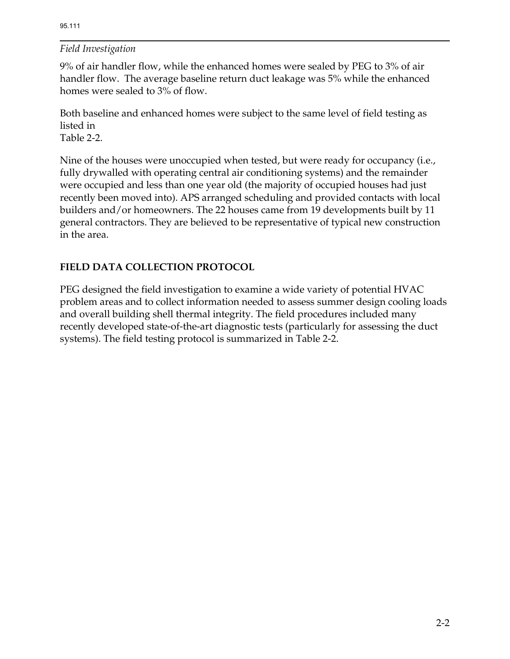9% of air handler flow, while the enhanced homes were sealed by PEG to 3% of air handler flow. The average baseline return duct leakage was 5% while the enhanced homes were sealed to 3% of flow.

Both baseline and enhanced homes were subject to the same level of field testing as listed in Table 2-2.

Nine of the houses were unoccupied when tested, but were ready for occupancy (i.e., fully drywalled with operating central air conditioning systems) and the remainder were occupied and less than one year old (the majority of occupied houses had just recently been moved into). APS arranged scheduling and provided contacts with local builders and/or homeowners. The 22 houses came from 19 developments built by 11 general contractors. They are believed to be representative of typical new construction in the area.

# **FIELD DATA COLLECTION PROTOCOL**

PEG designed the field investigation to examine a wide variety of potential HVAC problem areas and to collect information needed to assess summer design cooling loads and overall building shell thermal integrity. The field procedures included many recently developed state-of-the-art diagnostic tests (particularly for assessing the duct systems). The field testing protocol is summarized in Table 2-2.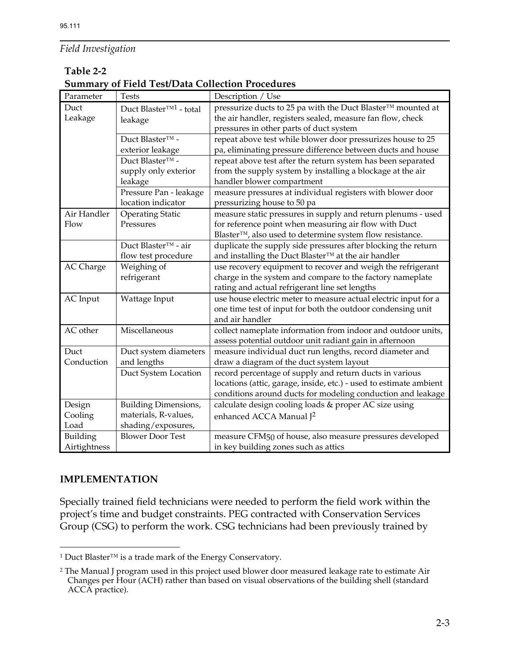#### **Table 2-2**

**Summary of Field Test/Data Collection Procedures**

| Parameter       | <b>Tests</b>                       | Description / Use                                                  |
|-----------------|------------------------------------|--------------------------------------------------------------------|
| Duct            | Duct Blaster <sup>™1</sup> - total | pressurize ducts to 25 pa with the Duct Blaster™ mounted at        |
| Leakage         | leakage                            | the air handler, registers sealed, measure fan flow, check         |
|                 |                                    | pressures in other parts of duct system                            |
|                 | Duct Blaster™ -                    | repeat above test while blower door pressurizes house to 25        |
|                 | exterior leakage                   | pa, eliminating pressure difference between ducts and house        |
|                 | Duct Blaster <sup>™</sup> -        | repeat above test after the return system has been separated       |
|                 | supply only exterior               | from the supply system by installing a blockage at the air         |
|                 | leakage                            | handler blower compartment                                         |
|                 | Pressure Pan - leakage             | measure pressures at individual registers with blower door         |
|                 | location indicator                 | pressurizing house to 50 pa                                        |
| Air Handler     | <b>Operating Static</b>            | measure static pressures in supply and return plenums - used       |
| Flow            | Pressures                          | for reference point when measuring air flow with Duct              |
|                 |                                    | Blaster™, also used to determine system flow resistance.           |
|                 | Duct Blaster <sup>™</sup> - air    | duplicate the supply side pressures after blocking the return      |
|                 | flow test procedure                | and installing the Duct Blaster™ at the air handler                |
| AC Charge       | Weighing of                        | use recovery equipment to recover and weigh the refrigerant        |
|                 | refrigerant                        | charge in the system and compare to the factory nameplate          |
|                 |                                    | rating and actual refrigerant line set lengths                     |
| <b>AC</b> Input | Wattage Input                      | use house electric meter to measure actual electric input for a    |
|                 |                                    | one time test of input for both the outdoor condensing unit        |
|                 |                                    | and air handler                                                    |
| AC other        | Miscellaneous                      | collect nameplate information from indoor and outdoor units,       |
|                 |                                    | assess potential outdoor unit radiant gain in afternoon            |
| Duct            | Duct system diameters              | measure individual duct run lengths, record diameter and           |
| Conduction      | and lengths                        | draw a diagram of the duct system layout                           |
|                 | Duct System Location               | record percentage of supply and return ducts in various            |
|                 |                                    | locations (attic, garage, inside, etc.) - used to estimate ambient |
|                 |                                    | conditions around ducts for modeling conduction and leakage        |
| Design          | Building Dimensions,               | calculate design cooling loads & proper AC size using              |
| Cooling         | materials, R-values,               | enhanced ACCA Manual J <sup>2</sup>                                |
| Load            | shading/exposures,                 |                                                                    |
| Building        | <b>Blower Door Test</b>            | measure CFM50 of house, also measure pressures developed           |
| Airtightness    |                                    | in key building zones such as attics                               |

#### **IMPLEMENTATION**

Specially trained field technicians were needed to perform the field work within the project's time and budget constraints. PEG contracted with Conservation Services Group (CSG) to perform the work. CSG technicians had been previously trained by

 $\overline{a}$ 1 Duct Blaster™ is a trade mark of the Energy Conservatory.

 $^2$  The Manual J program used in this project used blower door measured leakage rate to estimate Air Changes per Hour (ACH) rather than based on visual observations of the building shell (standard ACCA practice).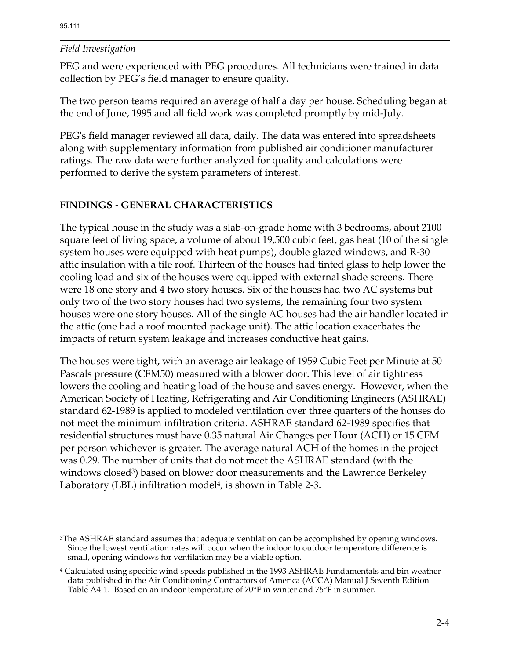$\overline{a}$ 

#### *Field Investigation*

PEG and were experienced with PEG procedures. All technicians were trained in data collection by PEG's field manager to ensure quality.

The two person teams required an average of half a day per house. Scheduling began at the end of June, 1995 and all field work was completed promptly by mid-July.

PEG's field manager reviewed all data, daily. The data was entered into spreadsheets along with supplementary information from published air conditioner manufacturer ratings. The raw data were further analyzed for quality and calculations were performed to derive the system parameters of interest.

## **FINDINGS - GENERAL CHARACTERISTICS**

The typical house in the study was a slab-on-grade home with 3 bedrooms, about 2100 square feet of living space, a volume of about 19,500 cubic feet, gas heat (10 of the single system houses were equipped with heat pumps), double glazed windows, and R-30 attic insulation with a tile roof. Thirteen of the houses had tinted glass to help lower the cooling load and six of the houses were equipped with external shade screens. There were 18 one story and 4 two story houses. Six of the houses had two AC systems but only two of the two story houses had two systems, the remaining four two system houses were one story houses. All of the single AC houses had the air handler located in the attic (one had a roof mounted package unit). The attic location exacerbates the impacts of return system leakage and increases conductive heat gains.

The houses were tight, with an average air leakage of 1959 Cubic Feet per Minute at 50 Pascals pressure (CFM50) measured with a blower door. This level of air tightness lowers the cooling and heating load of the house and saves energy. However, when the American Society of Heating, Refrigerating and Air Conditioning Engineers (ASHRAE) standard 62-1989 is applied to modeled ventilation over three quarters of the houses do not meet the minimum infiltration criteria. ASHRAE standard 62-1989 specifies that residential structures must have 0.35 natural Air Changes per Hour (ACH) or 15 CFM per person whichever is greater. The average natural ACH of the homes in the project was 0.29. The number of units that do not meet the ASHRAE standard (with the windows closed<sup>3</sup>) based on blower door measurements and the Lawrence Berkeley Laboratory (LBL) infiltration model<sup>4</sup>, is shown in Table 2-3.

<sup>3</sup>The ASHRAE standard assumes that adequate ventilation can be accomplished by opening windows. Since the lowest ventilation rates will occur when the indoor to outdoor temperature difference is small, opening windows for ventilation may be a viable option.

<sup>4</sup> Calculated using specific wind speeds published in the 1993 ASHRAE Fundamentals and bin weather data published in the Air Conditioning Contractors of America (ACCA) Manual J Seventh Edition Table A4-1. Based on an indoor temperature of 70°F in winter and 75°F in summer.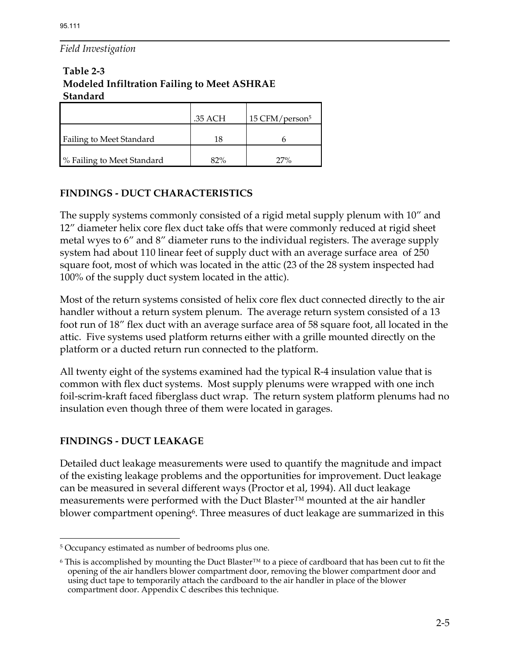# **Table 2-3 Modeled Infiltration Failing to Meet ASHRAE Standard**

|                                 | .35 ACH | 15 CFM/person <sup>5</sup> |
|---------------------------------|---------|----------------------------|
| <b>Failing to Meet Standard</b> |         |                            |
| % Failing to Meet Standard      | 82%     | 27%                        |

# **FINDINGS - DUCT CHARACTERISTICS**

The supply systems commonly consisted of a rigid metal supply plenum with 10" and 12" diameter helix core flex duct take offs that were commonly reduced at rigid sheet metal wyes to 6" and 8" diameter runs to the individual registers. The average supply system had about 110 linear feet of supply duct with an average surface area of 250 square foot, most of which was located in the attic (23 of the 28 system inspected had 100% of the supply duct system located in the attic).

Most of the return systems consisted of helix core flex duct connected directly to the air handler without a return system plenum. The average return system consisted of a 13 foot run of 18" flex duct with an average surface area of 58 square foot, all located in the attic. Five systems used platform returns either with a grille mounted directly on the platform or a ducted return run connected to the platform.

All twenty eight of the systems examined had the typical R-4 insulation value that is common with flex duct systems. Most supply plenums were wrapped with one inch foil-scrim-kraft faced fiberglass duct wrap. The return system platform plenums had no insulation even though three of them were located in garages.

## **FINDINGS - DUCT LEAKAGE**

 $\overline{a}$ 

Detailed duct leakage measurements were used to quantify the magnitude and impact of the existing leakage problems and the opportunities for improvement. Duct leakage can be measured in several different ways (Proctor et al, 1994). All duct leakage measurements were performed with the Duct Blaster™ mounted at the air handler blower compartment opening<sup>6</sup>. Three measures of duct leakage are summarized in this

<sup>5</sup> Occupancy estimated as number of bedrooms plus one.

<sup>6</sup> This is accomplished by mounting the Duct Blaster™ to a piece of cardboard that has been cut to fit the opening of the air handlers blower compartment door, removing the blower compartment door and using duct tape to temporarily attach the cardboard to the air handler in place of the blower compartment door. Appendix C describes this technique.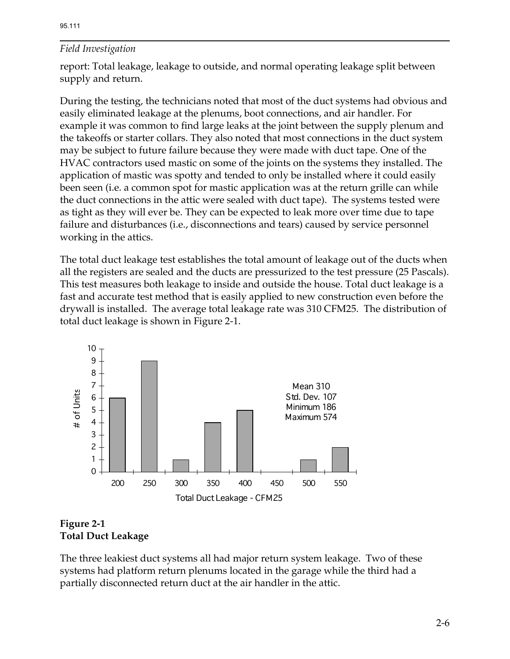report: Total leakage, leakage to outside, and normal operating leakage split between supply and return.

During the testing, the technicians noted that most of the duct systems had obvious and easily eliminated leakage at the plenums, boot connections, and air handler. For example it was common to find large leaks at the joint between the supply plenum and the takeoffs or starter collars. They also noted that most connections in the duct system may be subject to future failure because they were made with duct tape. One of the HVAC contractors used mastic on some of the joints on the systems they installed. The application of mastic was spotty and tended to only be installed where it could easily been seen (i.e. a common spot for mastic application was at the return grille can while the duct connections in the attic were sealed with duct tape). The systems tested were as tight as they will ever be. They can be expected to leak more over time due to tape failure and disturbances (i.e., disconnections and tears) caused by service personnel working in the attics.

The total duct leakage test establishes the total amount of leakage out of the ducts when all the registers are sealed and the ducts are pressurized to the test pressure (25 Pascals). This test measures both leakage to inside and outside the house. Total duct leakage is a fast and accurate test method that is easily applied to new construction even before the drywall is installed. The average total leakage rate was 310 CFM25. The distribution of total duct leakage is shown in Figure 2-1.



## **Figure 2-1 Total Duct Leakage**

The three leakiest duct systems all had major return system leakage. Two of these systems had platform return plenums located in the garage while the third had a partially disconnected return duct at the air handler in the attic.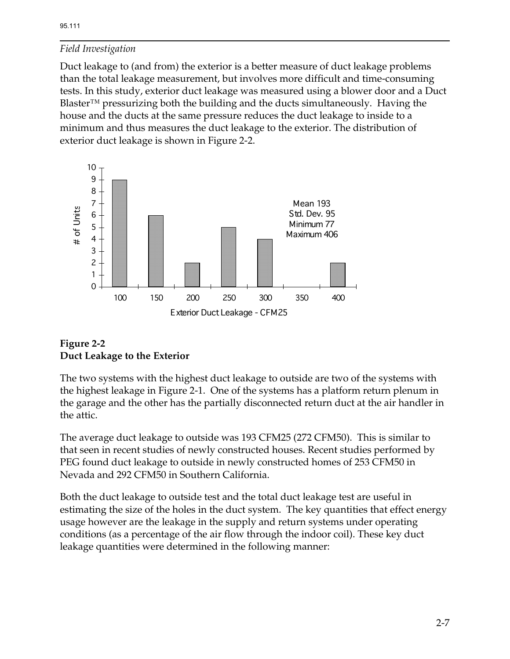Duct leakage to (and from) the exterior is a better measure of duct leakage problems than the total leakage measurement, but involves more difficult and time-consuming tests. In this study, exterior duct leakage was measured using a blower door and a Duct Blaster™ pressurizing both the building and the ducts simultaneously. Having the house and the ducts at the same pressure reduces the duct leakage to inside to a minimum and thus measures the duct leakage to the exterior. The distribution of exterior duct leakage is shown in Figure 2-2.



## **Figure 2-2 Duct Leakage to the Exterior**

The two systems with the highest duct leakage to outside are two of the systems with the highest leakage in Figure 2-1. One of the systems has a platform return plenum in the garage and the other has the partially disconnected return duct at the air handler in the attic.

The average duct leakage to outside was 193 CFM25 (272 CFM50). This is similar to that seen in recent studies of newly constructed houses. Recent studies performed by PEG found duct leakage to outside in newly constructed homes of 253 CFM50 in Nevada and 292 CFM50 in Southern California.

Both the duct leakage to outside test and the total duct leakage test are useful in estimating the size of the holes in the duct system. The key quantities that effect energy usage however are the leakage in the supply and return systems under operating conditions (as a percentage of the air flow through the indoor coil). These key duct leakage quantities were determined in the following manner: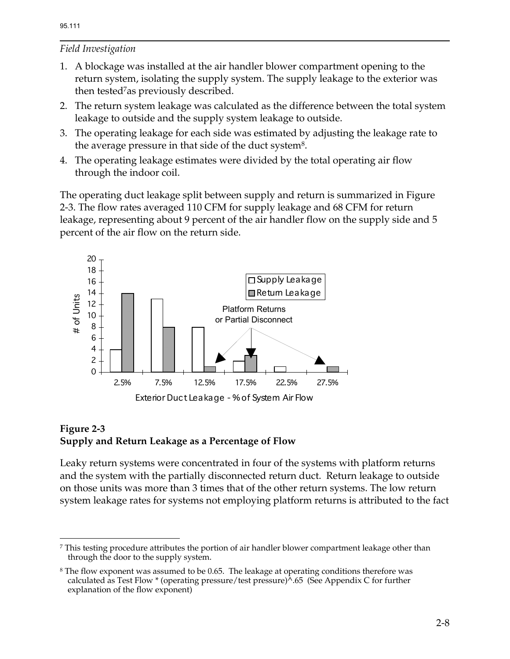<u>.</u>

# *Field Investigation*

- 1. A blockage was installed at the air handler blower compartment opening to the return system, isolating the supply system. The supply leakage to the exterior was then tested<sup>7</sup>as previously described.
- 2. The return system leakage was calculated as the difference between the total system leakage to outside and the supply system leakage to outside.
- 3. The operating leakage for each side was estimated by adjusting the leakage rate to the average pressure in that side of the duct system8.
- 4. The operating leakage estimates were divided by the total operating air flow through the indoor coil.

The operating duct leakage split between supply and return is summarized in Figure 2-3. The flow rates averaged 110 CFM for supply leakage and 68 CFM for return leakage, representing about 9 percent of the air handler flow on the supply side and 5 percent of the air flow on the return side.



#### **Figure 2-3 Supply and Return Leakage as a Percentage of Flow**

Leaky return systems were concentrated in four of the systems with platform returns and the system with the partially disconnected return duct. Return leakage to outside on those units was more than 3 times that of the other return systems. The low return system leakage rates for systems not employing platform returns is attributed to the fact

<sup>7</sup> This testing procedure attributes the portion of air handler blower compartment leakage other than through the door to the supply system.

<sup>&</sup>lt;sup>8</sup> The flow exponent was assumed to be 0.65. The leakage at operating conditions therefore was calculated as Test Flow  $*$  (operating pressure/test pressure) $\lambda$ .65 (See Appendix C for further explanation of the flow exponent)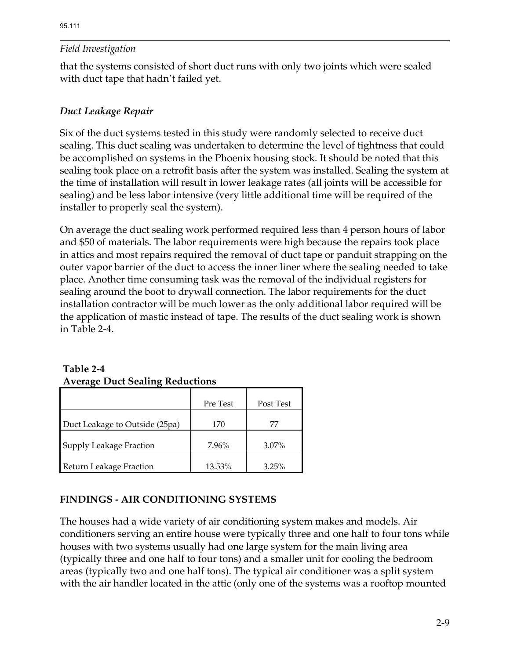that the systems consisted of short duct runs with only two joints which were sealed with duct tape that hadn't failed yet.

# *Duct Leakage Repair*

Six of the duct systems tested in this study were randomly selected to receive duct sealing. This duct sealing was undertaken to determine the level of tightness that could be accomplished on systems in the Phoenix housing stock. It should be noted that this sealing took place on a retrofit basis after the system was installed. Sealing the system at the time of installation will result in lower leakage rates (all joints will be accessible for sealing) and be less labor intensive (very little additional time will be required of the installer to properly seal the system).

On average the duct sealing work performed required less than 4 person hours of labor and \$50 of materials. The labor requirements were high because the repairs took place in attics and most repairs required the removal of duct tape or panduit strapping on the outer vapor barrier of the duct to access the inner liner where the sealing needed to take place. Another time consuming task was the removal of the individual registers for sealing around the boot to drywall connection. The labor requirements for the duct installation contractor will be much lower as the only additional labor required will be the application of mastic instead of tape. The results of the duct sealing work is shown in Table 2-4.

| Average Duct Sealing Reductions |          |           |  |  |  |
|---------------------------------|----------|-----------|--|--|--|
|                                 | Pre Test | Post Test |  |  |  |
| Duct Leakage to Outside (25pa)  | 170      | 77        |  |  |  |
| Supply Leakage Fraction         | 7.96%    | $3.07\%$  |  |  |  |
| Return Leakage Fraction         | 13.53%   | 3.25%     |  |  |  |

# **Table 2-4 Average Duct Sealing Reductions**

## **FINDINGS - AIR CONDITIONING SYSTEMS**

The houses had a wide variety of air conditioning system makes and models. Air conditioners serving an entire house were typically three and one half to four tons while houses with two systems usually had one large system for the main living area (typically three and one half to four tons) and a smaller unit for cooling the bedroom areas (typically two and one half tons). The typical air conditioner was a split system with the air handler located in the attic (only one of the systems was a rooftop mounted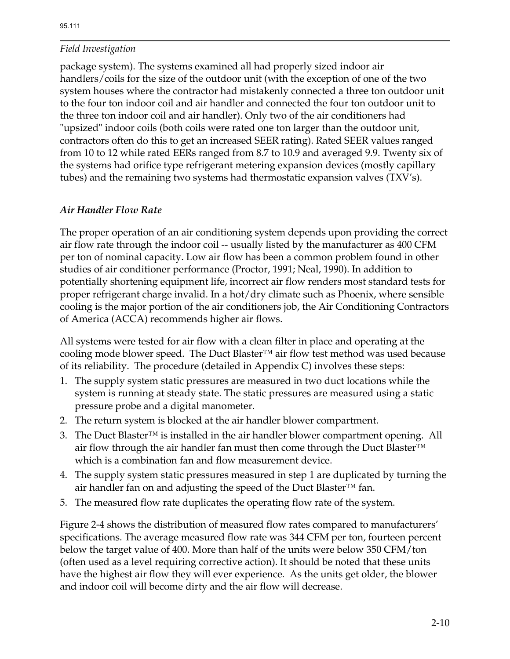package system). The systems examined all had properly sized indoor air handlers/coils for the size of the outdoor unit (with the exception of one of the two system houses where the contractor had mistakenly connected a three ton outdoor unit to the four ton indoor coil and air handler and connected the four ton outdoor unit to the three ton indoor coil and air handler). Only two of the air conditioners had "upsized" indoor coils (both coils were rated one ton larger than the outdoor unit, contractors often do this to get an increased SEER rating). Rated SEER values ranged from 10 to 12 while rated EERs ranged from 8.7 to 10.9 and averaged 9.9. Twenty six of the systems had orifice type refrigerant metering expansion devices (mostly capillary tubes) and the remaining two systems had thermostatic expansion valves (TXV's).

## *Air Handler Flow Rate*

The proper operation of an air conditioning system depends upon providing the correct air flow rate through the indoor coil -- usually listed by the manufacturer as 400 CFM per ton of nominal capacity. Low air flow has been a common problem found in other studies of air conditioner performance (Proctor, 1991; Neal, 1990). In addition to potentially shortening equipment life, incorrect air flow renders most standard tests for proper refrigerant charge invalid. In a hot/dry climate such as Phoenix, where sensible cooling is the major portion of the air conditioners job, the Air Conditioning Contractors of America (ACCA) recommends higher air flows.

All systems were tested for air flow with a clean filter in place and operating at the cooling mode blower speed. The Duct Blaster™ air flow test method was used because of its reliability. The procedure (detailed in Appendix C) involves these steps:

- 1. The supply system static pressures are measured in two duct locations while the system is running at steady state. The static pressures are measured using a static pressure probe and a digital manometer.
- 2. The return system is blocked at the air handler blower compartment.
- 3. The Duct Blaster<sup>™</sup> is installed in the air handler blower compartment opening. All air flow through the air handler fan must then come through the Duct Blaster™ which is a combination fan and flow measurement device.
- 4. The supply system static pressures measured in step 1 are duplicated by turning the air handler fan on and adjusting the speed of the Duct Blaster™ fan.
- 5. The measured flow rate duplicates the operating flow rate of the system.

Figure 2-4 shows the distribution of measured flow rates compared to manufacturers' specifications. The average measured flow rate was 344 CFM per ton, fourteen percent below the target value of 400. More than half of the units were below 350 CFM/ton (often used as a level requiring corrective action). It should be noted that these units have the highest air flow they will ever experience. As the units get older, the blower and indoor coil will become dirty and the air flow will decrease.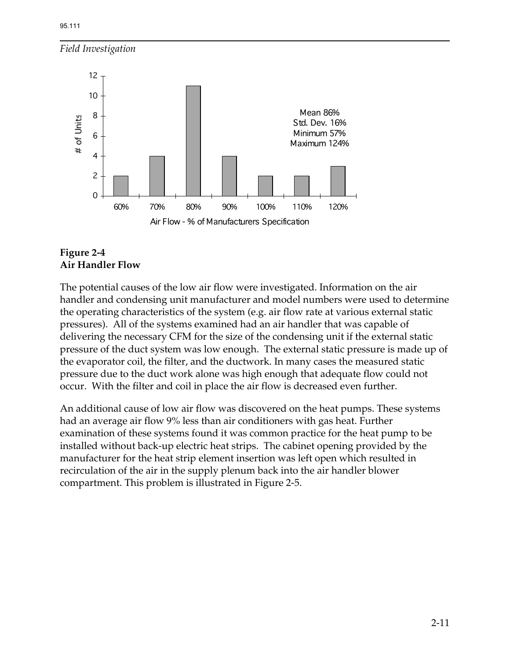

#### **Figure 2-4 Air Handler Flow**

The potential causes of the low air flow were investigated. Information on the air handler and condensing unit manufacturer and model numbers were used to determine the operating characteristics of the system (e.g. air flow rate at various external static pressures). All of the systems examined had an air handler that was capable of delivering the necessary CFM for the size of the condensing unit if the external static pressure of the duct system was low enough. The external static pressure is made up of the evaporator coil, the filter, and the ductwork. In many cases the measured static pressure due to the duct work alone was high enough that adequate flow could not occur. With the filter and coil in place the air flow is decreased even further.

An additional cause of low air flow was discovered on the heat pumps. These systems had an average air flow 9% less than air conditioners with gas heat. Further examination of these systems found it was common practice for the heat pump to be installed without back-up electric heat strips. The cabinet opening provided by the manufacturer for the heat strip element insertion was left open which resulted in recirculation of the air in the supply plenum back into the air handler blower compartment. This problem is illustrated in Figure 2-5.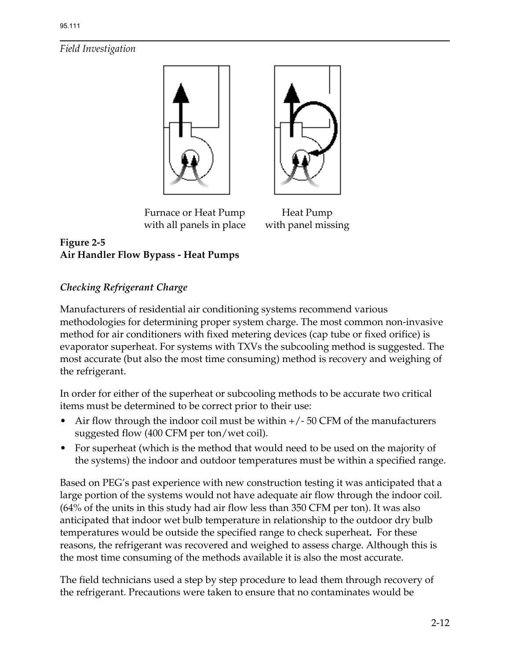



Furnace or Heat Pump Heat Pump with all panels in place with panel missing

# **Figure 2-5 Air Handler Flow Bypass - Heat Pumps**

# *Checking Refrigerant Charge*

Manufacturers of residential air conditioning systems recommend various methodologies for determining proper system charge. The most common non-invasive method for air conditioners with fixed metering devices (cap tube or fixed orifice) is evaporator superheat. For systems with TXVs the subcooling method is suggested. The most accurate (but also the most time consuming) method is recovery and weighing of the refrigerant.

In order for either of the superheat or subcooling methods to be accurate two critical items must be determined to be correct prior to their use:

- Air flow through the indoor coil must be within  $+/-50$  CFM of the manufacturers suggested flow (400 CFM per ton/wet coil).
- For superheat (which is the method that would need to be used on the majority of the systems) the indoor and outdoor temperatures must be within a specified range.

Based on PEG's past experience with new construction testing it was anticipated that a large portion of the systems would not have adequate air flow through the indoor coil. (64% of the units in this study had air flow less than 350 CFM per ton). It was also anticipated that indoor wet bulb temperature in relationship to the outdoor dry bulb temperatures would be outside the specified range to check superheat**.** For these reasons, the refrigerant was recovered and weighed to assess charge. Although this is the most time consuming of the methods available it is also the most accurate.

The field technicians used a step by step procedure to lead them through recovery of the refrigerant. Precautions were taken to ensure that no contaminates would be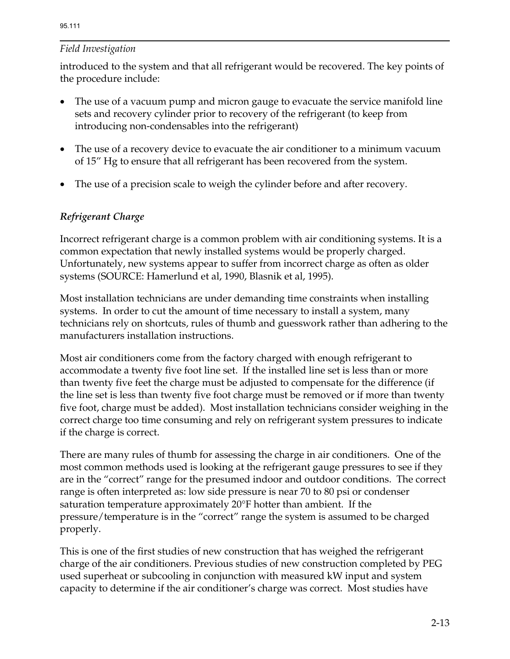introduced to the system and that all refrigerant would be recovered. The key points of the procedure include:

- The use of a vacuum pump and micron gauge to evacuate the service manifold line sets and recovery cylinder prior to recovery of the refrigerant (to keep from introducing non-condensables into the refrigerant)
- The use of a recovery device to evacuate the air conditioner to a minimum vacuum of 15" Hg to ensure that all refrigerant has been recovered from the system.
- The use of a precision scale to weigh the cylinder before and after recovery.

## *Refrigerant Charge*

Incorrect refrigerant charge is a common problem with air conditioning systems. It is a common expectation that newly installed systems would be properly charged. Unfortunately, new systems appear to suffer from incorrect charge as often as older systems (SOURCE: Hamerlund et al, 1990, Blasnik et al, 1995).

Most installation technicians are under demanding time constraints when installing systems. In order to cut the amount of time necessary to install a system, many technicians rely on shortcuts, rules of thumb and guesswork rather than adhering to the manufacturers installation instructions.

Most air conditioners come from the factory charged with enough refrigerant to accommodate a twenty five foot line set. If the installed line set is less than or more than twenty five feet the charge must be adjusted to compensate for the difference (if the line set is less than twenty five foot charge must be removed or if more than twenty five foot, charge must be added). Most installation technicians consider weighing in the correct charge too time consuming and rely on refrigerant system pressures to indicate if the charge is correct.

There are many rules of thumb for assessing the charge in air conditioners. One of the most common methods used is looking at the refrigerant gauge pressures to see if they are in the "correct" range for the presumed indoor and outdoor conditions. The correct range is often interpreted as: low side pressure is near 70 to 80 psi or condenser saturation temperature approximately 20°F hotter than ambient. If the pressure/temperature is in the "correct" range the system is assumed to be charged properly.

This is one of the first studies of new construction that has weighed the refrigerant charge of the air conditioners. Previous studies of new construction completed by PEG used superheat or subcooling in conjunction with measured kW input and system capacity to determine if the air conditioner's charge was correct. Most studies have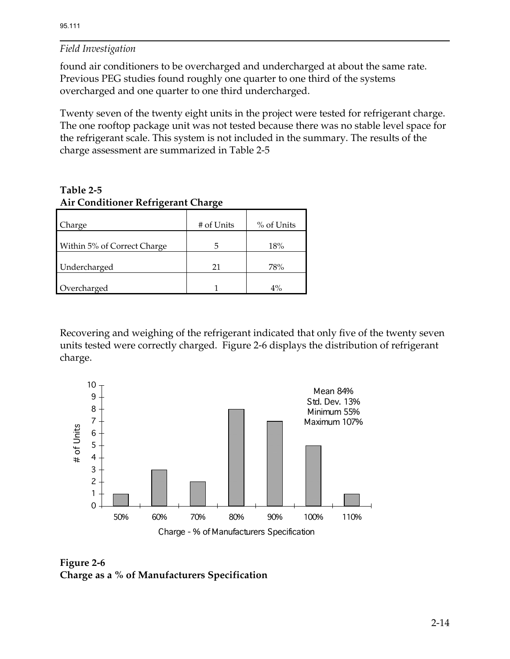found air conditioners to be overcharged and undercharged at about the same rate. Previous PEG studies found roughly one quarter to one third of the systems overcharged and one quarter to one third undercharged.

Twenty seven of the twenty eight units in the project were tested for refrigerant charge. The one rooftop package unit was not tested because there was no stable level space for the refrigerant scale. This system is not included in the summary. The results of the charge assessment are summarized in Table 2-5

**Table 2-5 Air Conditioner Refrigerant Charge** 

| Charge                      | # of Units | % of Units |
|-----------------------------|------------|------------|
| Within 5% of Correct Charge | 5          | 18%        |
| Undercharged                | 21         | 78%        |
| Overcharged                 |            | $4\%$      |

Recovering and weighing of the refrigerant indicated that only five of the twenty seven units tested were correctly charged. Figure 2-6 displays the distribution of refrigerant charge.



**Figure 2-6 Charge as a % of Manufacturers Specification**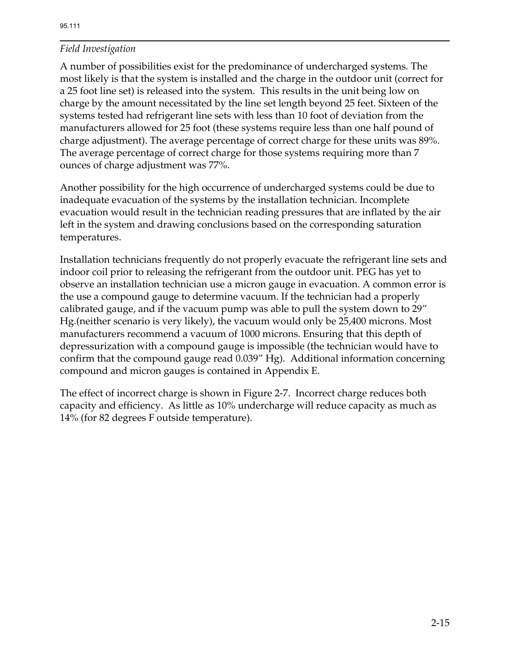A number of possibilities exist for the predominance of undercharged systems. The most likely is that the system is installed and the charge in the outdoor unit (correct for a 25 foot line set) is released into the system. This results in the unit being low on charge by the amount necessitated by the line set length beyond 25 feet. Sixteen of the systems tested had refrigerant line sets with less than 10 foot of deviation from the manufacturers allowed for 25 foot (these systems require less than one half pound of charge adjustment). The average percentage of correct charge for these units was 89%. The average percentage of correct charge for those systems requiring more than 7 ounces of charge adjustment was 77%.

Another possibility for the high occurrence of undercharged systems could be due to inadequate evacuation of the systems by the installation technician. Incomplete evacuation would result in the technician reading pressures that are inflated by the air left in the system and drawing conclusions based on the corresponding saturation temperatures.

Installation technicians frequently do not properly evacuate the refrigerant line sets and indoor coil prior to releasing the refrigerant from the outdoor unit. PEG has yet to observe an installation technician use a micron gauge in evacuation. A common error is the use a compound gauge to determine vacuum. If the technician had a properly calibrated gauge, and if the vacuum pump was able to pull the system down to 29" Hg.(neither scenario is very likely), the vacuum would only be 25,400 microns. Most manufacturers recommend a vacuum of 1000 microns. Ensuring that this depth of depressurization with a compound gauge is impossible (the technician would have to confirm that the compound gauge read 0.039" Hg). Additional information concerning compound and micron gauges is contained in Appendix E.

The effect of incorrect charge is shown in Figure 2-7. Incorrect charge reduces both capacity and efficiency. As little as 10% undercharge will reduce capacity as much as 14% (for 82 degrees F outside temperature).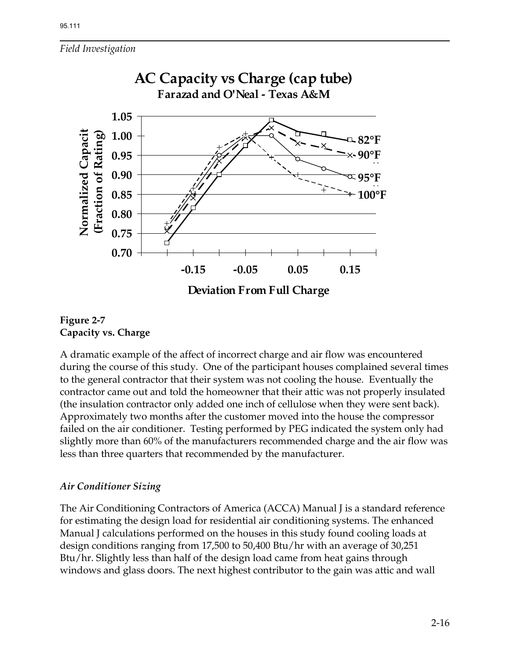

#### **Figure 2-7 Capacity vs. Charge**

A dramatic example of the affect of incorrect charge and air flow was encountered during the course of this study. One of the participant houses complained several times to the general contractor that their system was not cooling the house. Eventually the contractor came out and told the homeowner that their attic was not properly insulated (the insulation contractor only added one inch of cellulose when they were sent back). Approximately two months after the customer moved into the house the compressor failed on the air conditioner. Testing performed by PEG indicated the system only had slightly more than 60% of the manufacturers recommended charge and the air flow was less than three quarters that recommended by the manufacturer.

## *Air Conditioner Sizing*

The Air Conditioning Contractors of America (ACCA) Manual J is a standard reference for estimating the design load for residential air conditioning systems. The enhanced Manual J calculations performed on the houses in this study found cooling loads at design conditions ranging from 17,500 to 50,400 Btu/hr with an average of 30,251 Btu/hr. Slightly less than half of the design load came from heat gains through windows and glass doors. The next highest contributor to the gain was attic and wall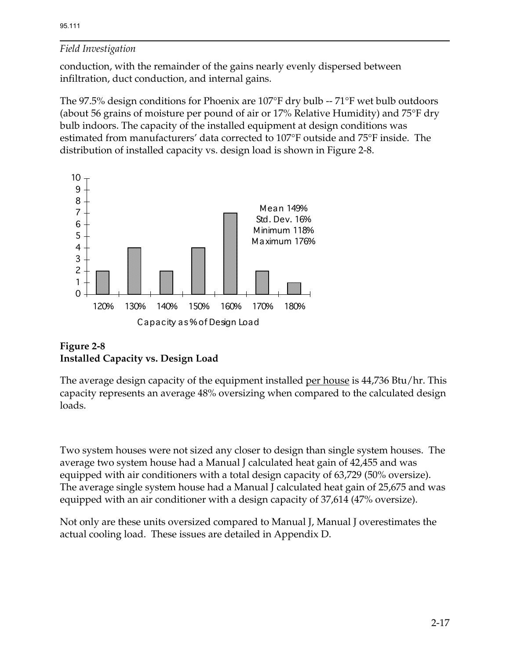conduction, with the remainder of the gains nearly evenly dispersed between infiltration, duct conduction, and internal gains.

The 97.5% design conditions for Phoenix are 107°F dry bulb -- 71°F wet bulb outdoors (about 56 grains of moisture per pound of air or 17% Relative Humidity) and 75°F dry bulb indoors. The capacity of the installed equipment at design conditions was estimated from manufacturers' data corrected to 107°F outside and 75°F inside. The distribution of installed capacity vs. design load is shown in Figure 2-8.



# **Figure 2-8 Installed Capacity vs. Design Load**

The average design capacity of the equipment installed per house is 44,736 Btu/hr. This capacity represents an average 48% oversizing when compared to the calculated design loads.

Two system houses were not sized any closer to design than single system houses. The average two system house had a Manual J calculated heat gain of 42,455 and was equipped with air conditioners with a total design capacity of 63,729 (50% oversize). The average single system house had a Manual J calculated heat gain of 25,675 and was equipped with an air conditioner with a design capacity of 37,614 (47% oversize).

Not only are these units oversized compared to Manual J, Manual J overestimates the actual cooling load. These issues are detailed in Appendix D.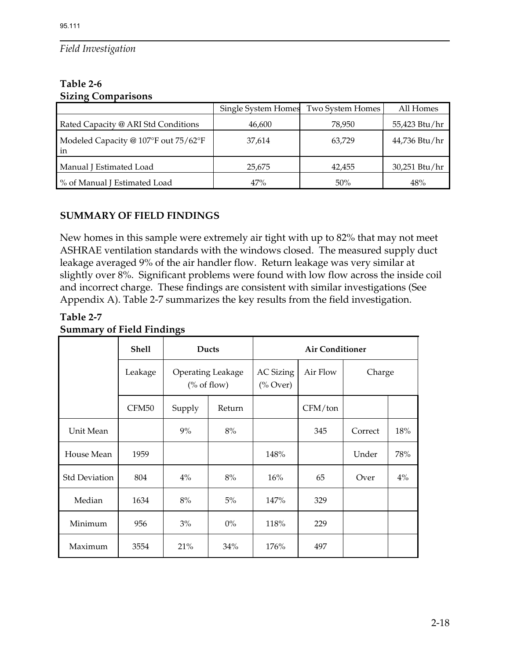#### **Table 2-6 Sizing Comparisons**

|                                            | Single System Homes Two System Homes |        | All Homes     |
|--------------------------------------------|--------------------------------------|--------|---------------|
| Rated Capacity @ ARI Std Conditions        | 46,600                               | 78,950 | 55,423 Btu/hr |
| Modeled Capacity @ 107°F out 75/62°F<br>in | 37,614                               | 63,729 | 44,736 Btu/hr |
| Manual J Estimated Load                    | 25,675                               | 42,455 | 30,251 Btu/hr |
| % of Manual J Estimated Load               | 47%                                  | 50%    | 48%           |

# **SUMMARY OF FIELD FINDINGS**

New homes in this sample were extremely air tight with up to 82% that may not meet ASHRAE ventilation standards with the windows closed. The measured supply duct leakage averaged 9% of the air handler flow. Return leakage was very similar at slightly over 8%. Significant problems were found with low flow across the inside coil and incorrect charge. These findings are consistent with similar investigations (See Appendix A). Table 2-7 summarizes the key results from the field investigation.

## **Table 2-7 Summary of Field Findings**

|                      | <b>Shell</b><br>Ducts |                                       | <b>Air Conditioner</b> |                                                 |          |         |       |
|----------------------|-----------------------|---------------------------------------|------------------------|-------------------------------------------------|----------|---------|-------|
|                      | Leakage               | <b>Operating Leakage</b><br>% of flow |                        | <b>AC Sizing</b><br>$(^{\circ}\!\!/\circ$ Over) | Air Flow | Charge  |       |
|                      | CFM50                 | Supply                                | Return                 |                                                 | CFM/ton  |         |       |
| Unit Mean            |                       | 9%                                    | 8%                     |                                                 | 345      | Correct | 18%   |
| House Mean           | 1959                  |                                       |                        | 148%                                            |          | Under   | 78%   |
| <b>Std Deviation</b> | 804                   | $4\%$                                 | 8%                     | 16%                                             | 65       | Over    | $4\%$ |
| Median               | 1634                  | 8%                                    | 5%                     | 147%                                            | 329      |         |       |
| Minimum              | 956                   | 3%                                    | $0\%$                  | 118%                                            | 229      |         |       |
| Maximum              | 3554                  | 21%                                   | 34%                    | 176%                                            | 497      |         |       |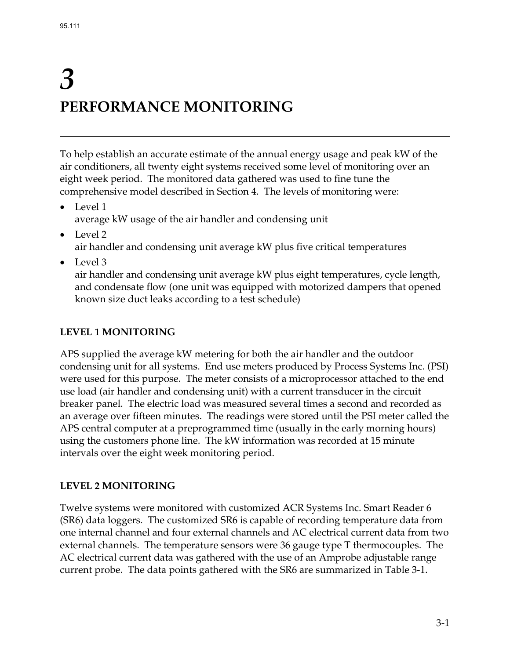# *3*  **PERFORMANCE MONITORING**

To help establish an accurate estimate of the annual energy usage and peak kW of the air conditioners, all twenty eight systems received some level of monitoring over an eight week period. The monitored data gathered was used to fine tune the comprehensive model described in Section 4. The levels of monitoring were:

- Level 1 average kW usage of the air handler and condensing unit
- Level 2

air handler and condensing unit average kW plus five critical temperatures

• Level 3

air handler and condensing unit average kW plus eight temperatures, cycle length, and condensate flow (one unit was equipped with motorized dampers that opened known size duct leaks according to a test schedule)

# **LEVEL 1 MONITORING**

APS supplied the average kW metering for both the air handler and the outdoor condensing unit for all systems. End use meters produced by Process Systems Inc. (PSI) were used for this purpose. The meter consists of a microprocessor attached to the end use load (air handler and condensing unit) with a current transducer in the circuit breaker panel. The electric load was measured several times a second and recorded as an average over fifteen minutes. The readings were stored until the PSI meter called the APS central computer at a preprogrammed time (usually in the early morning hours) using the customers phone line. The kW information was recorded at 15 minute intervals over the eight week monitoring period.

# **LEVEL 2 MONITORING**

Twelve systems were monitored with customized ACR Systems Inc. Smart Reader 6 (SR6) data loggers. The customized SR6 is capable of recording temperature data from one internal channel and four external channels and AC electrical current data from two external channels. The temperature sensors were 36 gauge type T thermocouples. The AC electrical current data was gathered with the use of an Amprobe adjustable range current probe. The data points gathered with the SR6 are summarized in Table 3-1.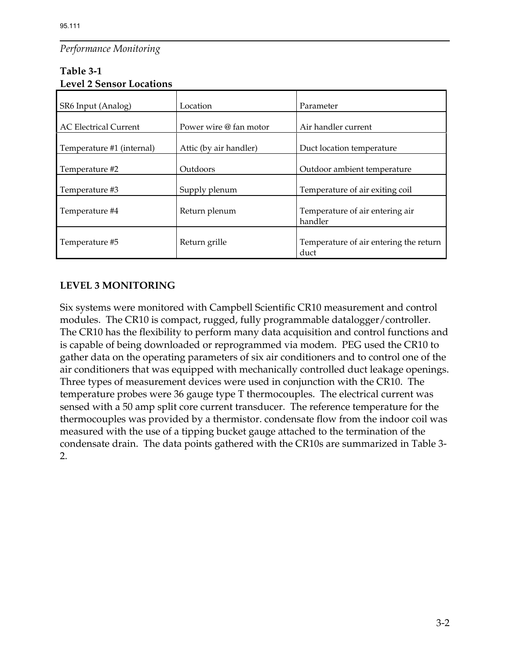## *Performance Monitoring*

| Level 2 Selisul Lucations    |                        |                                                |  |  |  |
|------------------------------|------------------------|------------------------------------------------|--|--|--|
| SR6 Input (Analog)           | Location               | Parameter                                      |  |  |  |
| <b>AC Electrical Current</b> | Power wire @ fan motor | Air handler current                            |  |  |  |
| Temperature #1 (internal)    | Attic (by air handler) | Duct location temperature                      |  |  |  |
| Temperature #2               | Outdoors               | Outdoor ambient temperature                    |  |  |  |
| Temperature #3               | Supply plenum          | Temperature of air exiting coil                |  |  |  |
| Temperature #4               | Return plenum          | Temperature of air entering air<br>handler     |  |  |  |
| Temperature #5               | Return grille          | Temperature of air entering the return<br>duct |  |  |  |

#### **Table 3-1 Level 2 Sensor Locations**

# **LEVEL 3 MONITORING**

Six systems were monitored with Campbell Scientific CR10 measurement and control modules. The CR10 is compact, rugged, fully programmable datalogger/controller. The CR10 has the flexibility to perform many data acquisition and control functions and is capable of being downloaded or reprogrammed via modem. PEG used the CR10 to gather data on the operating parameters of six air conditioners and to control one of the air conditioners that was equipped with mechanically controlled duct leakage openings. Three types of measurement devices were used in conjunction with the CR10. The temperature probes were 36 gauge type T thermocouples. The electrical current was sensed with a 50 amp split core current transducer. The reference temperature for the thermocouples was provided by a thermistor. condensate flow from the indoor coil was measured with the use of a tipping bucket gauge attached to the termination of the condensate drain. The data points gathered with the CR10s are summarized in Table 3- 2.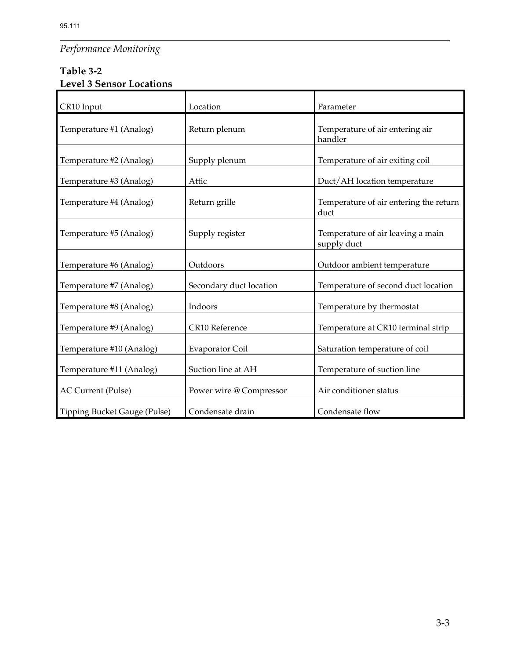# *Performance Monitoring*

# **Table 3-2 Level 3 Sensor Locations**

| CR10 Input                   | Location                | Parameter                                        |
|------------------------------|-------------------------|--------------------------------------------------|
| Temperature #1 (Analog)      | Return plenum           | Temperature of air entering air<br>handler       |
| Temperature #2 (Analog)      | Supply plenum           | Temperature of air exiting coil                  |
| Temperature #3 (Analog)      | Attic                   | Duct/AH location temperature                     |
| Temperature #4 (Analog)      | Return grille           | Temperature of air entering the return<br>duct   |
| Temperature #5 (Analog)      | Supply register         | Temperature of air leaving a main<br>supply duct |
| Temperature #6 (Analog)      | Outdoors                | Outdoor ambient temperature                      |
| Temperature #7 (Analog)      | Secondary duct location | Temperature of second duct location              |
| Temperature #8 (Analog)      | Indoors                 | Temperature by thermostat                        |
| Temperature #9 (Analog)      | CR10 Reference          | Temperature at CR10 terminal strip               |
| Temperature #10 (Analog)     | Evaporator Coil         | Saturation temperature of coil                   |
| Temperature #11 (Analog)     | Suction line at AH      | Temperature of suction line                      |
| AC Current (Pulse)           | Power wire @ Compressor | Air conditioner status                           |
| Tipping Bucket Gauge (Pulse) | Condensate drain        | Condensate flow                                  |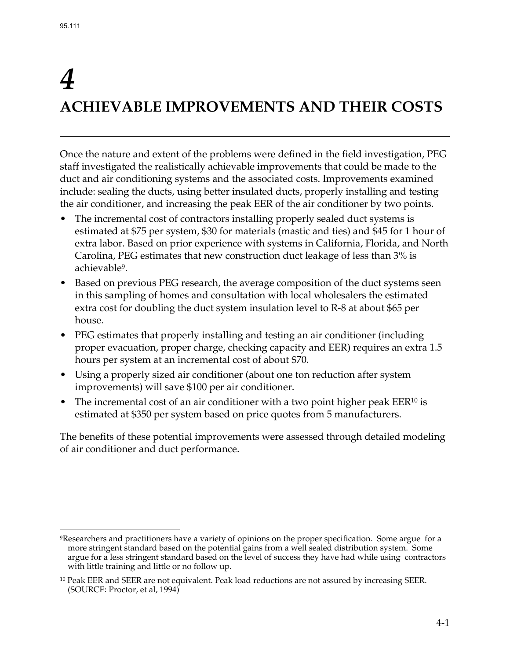<u>.</u>

# *4*  **ACHIEVABLE IMPROVEMENTS AND THEIR COSTS**

Once the nature and extent of the problems were defined in the field investigation, PEG staff investigated the realistically achievable improvements that could be made to the duct and air conditioning systems and the associated costs. Improvements examined include: sealing the ducts, using better insulated ducts, properly installing and testing the air conditioner, and increasing the peak EER of the air conditioner by two points.

- The incremental cost of contractors installing properly sealed duct systems is estimated at \$75 per system, \$30 for materials (mastic and ties) and \$45 for 1 hour of extra labor. Based on prior experience with systems in California, Florida, and North Carolina, PEG estimates that new construction duct leakage of less than 3% is achievable9.
- Based on previous PEG research, the average composition of the duct systems seen in this sampling of homes and consultation with local wholesalers the estimated extra cost for doubling the duct system insulation level to R-8 at about \$65 per house.
- PEG estimates that properly installing and testing an air conditioner (including proper evacuation, proper charge, checking capacity and EER) requires an extra 1.5 hours per system at an incremental cost of about \$70.
- Using a properly sized air conditioner (about one ton reduction after system improvements) will save \$100 per air conditioner.
- The incremental cost of an air conditioner with a two point higher peak  $EER^{10}$  is estimated at \$350 per system based on price quotes from 5 manufacturers.

The benefits of these potential improvements were assessed through detailed modeling of air conditioner and duct performance.

<sup>9</sup>Researchers and practitioners have a variety of opinions on the proper specification. Some argue for a more stringent standard based on the potential gains from a well sealed distribution system. Some argue for a less stringent standard based on the level of success they have had while using contractors with little training and little or no follow up.

<sup>&</sup>lt;sup>10</sup> Peak EER and SEER are not equivalent. Peak load reductions are not assured by increasing SEER. (SOURCE: Proctor, et al, 1994)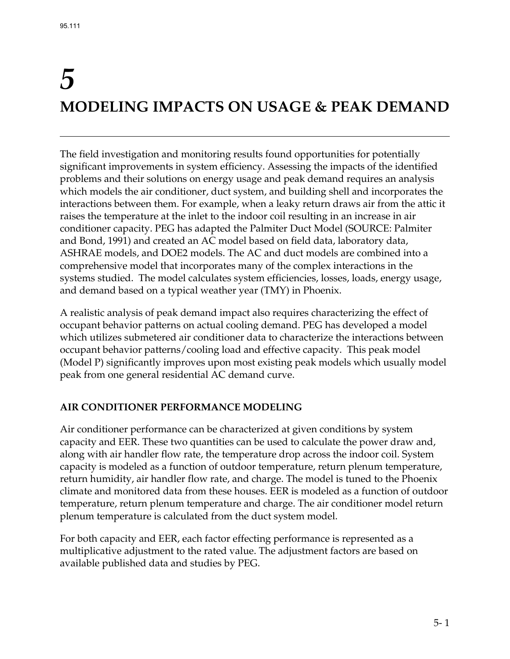# *5*  **MODELING IMPACTS ON USAGE & PEAK DEMAND**

The field investigation and monitoring results found opportunities for potentially significant improvements in system efficiency. Assessing the impacts of the identified problems and their solutions on energy usage and peak demand requires an analysis which models the air conditioner, duct system, and building shell and incorporates the interactions between them. For example, when a leaky return draws air from the attic it raises the temperature at the inlet to the indoor coil resulting in an increase in air conditioner capacity. PEG has adapted the Palmiter Duct Model (SOURCE: Palmiter and Bond, 1991) and created an AC model based on field data, laboratory data, ASHRAE models, and DOE2 models. The AC and duct models are combined into a comprehensive model that incorporates many of the complex interactions in the systems studied. The model calculates system efficiencies, losses, loads, energy usage, and demand based on a typical weather year (TMY) in Phoenix.

A realistic analysis of peak demand impact also requires characterizing the effect of occupant behavior patterns on actual cooling demand. PEG has developed a model which utilizes submetered air conditioner data to characterize the interactions between occupant behavior patterns/cooling load and effective capacity. This peak model (Model P) significantly improves upon most existing peak models which usually model peak from one general residential AC demand curve.

# **AIR CONDITIONER PERFORMANCE MODELING**

Air conditioner performance can be characterized at given conditions by system capacity and EER. These two quantities can be used to calculate the power draw and, along with air handler flow rate, the temperature drop across the indoor coil. System capacity is modeled as a function of outdoor temperature, return plenum temperature, return humidity, air handler flow rate, and charge. The model is tuned to the Phoenix climate and monitored data from these houses. EER is modeled as a function of outdoor temperature, return plenum temperature and charge. The air conditioner model return plenum temperature is calculated from the duct system model.

For both capacity and EER, each factor effecting performance is represented as a multiplicative adjustment to the rated value. The adjustment factors are based on available published data and studies by PEG.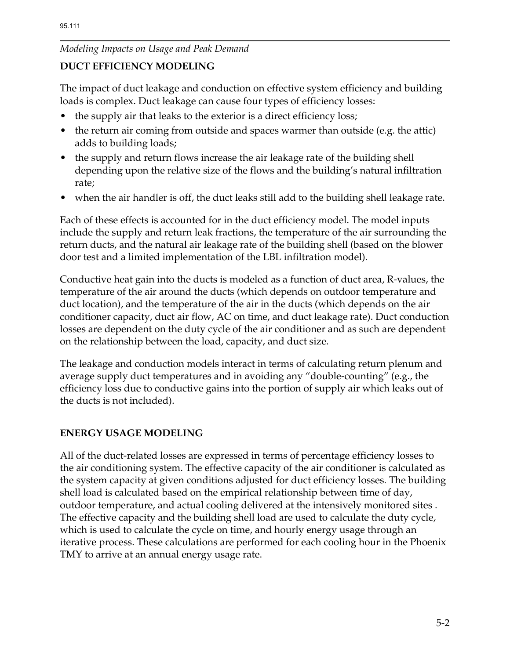### **DUCT EFFICIENCY MODELING**

The impact of duct leakage and conduction on effective system efficiency and building loads is complex. Duct leakage can cause four types of efficiency losses:

- the supply air that leaks to the exterior is a direct efficiency loss;
- the return air coming from outside and spaces warmer than outside (e.g. the attic) adds to building loads;
- the supply and return flows increase the air leakage rate of the building shell depending upon the relative size of the flows and the building's natural infiltration rate;
- when the air handler is off, the duct leaks still add to the building shell leakage rate.

Each of these effects is accounted for in the duct efficiency model. The model inputs include the supply and return leak fractions, the temperature of the air surrounding the return ducts, and the natural air leakage rate of the building shell (based on the blower door test and a limited implementation of the LBL infiltration model).

Conductive heat gain into the ducts is modeled as a function of duct area, R-values, the temperature of the air around the ducts (which depends on outdoor temperature and duct location), and the temperature of the air in the ducts (which depends on the air conditioner capacity, duct air flow, AC on time, and duct leakage rate). Duct conduction losses are dependent on the duty cycle of the air conditioner and as such are dependent on the relationship between the load, capacity, and duct size.

The leakage and conduction models interact in terms of calculating return plenum and average supply duct temperatures and in avoiding any "double-counting" (e.g., the efficiency loss due to conductive gains into the portion of supply air which leaks out of the ducts is not included).

## **ENERGY USAGE MODELING**

All of the duct-related losses are expressed in terms of percentage efficiency losses to the air conditioning system. The effective capacity of the air conditioner is calculated as the system capacity at given conditions adjusted for duct efficiency losses. The building shell load is calculated based on the empirical relationship between time of day, outdoor temperature, and actual cooling delivered at the intensively monitored sites . The effective capacity and the building shell load are used to calculate the duty cycle, which is used to calculate the cycle on time, and hourly energy usage through an iterative process. These calculations are performed for each cooling hour in the Phoenix TMY to arrive at an annual energy usage rate.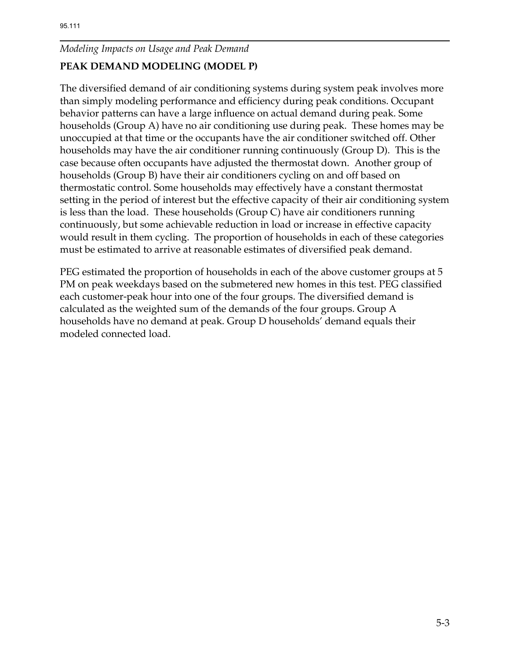# **PEAK DEMAND MODELING (MODEL P)**

The diversified demand of air conditioning systems during system peak involves more than simply modeling performance and efficiency during peak conditions. Occupant behavior patterns can have a large influence on actual demand during peak. Some households (Group A) have no air conditioning use during peak. These homes may be unoccupied at that time or the occupants have the air conditioner switched off. Other households may have the air conditioner running continuously (Group D). This is the case because often occupants have adjusted the thermostat down. Another group of households (Group B) have their air conditioners cycling on and off based on thermostatic control. Some households may effectively have a constant thermostat setting in the period of interest but the effective capacity of their air conditioning system is less than the load. These households (Group C) have air conditioners running continuously, but some achievable reduction in load or increase in effective capacity would result in them cycling. The proportion of households in each of these categories must be estimated to arrive at reasonable estimates of diversified peak demand.

PEG estimated the proportion of households in each of the above customer groups at 5 PM on peak weekdays based on the submetered new homes in this test. PEG classified each customer-peak hour into one of the four groups. The diversified demand is calculated as the weighted sum of the demands of the four groups. Group A households have no demand at peak. Group D households' demand equals their modeled connected load.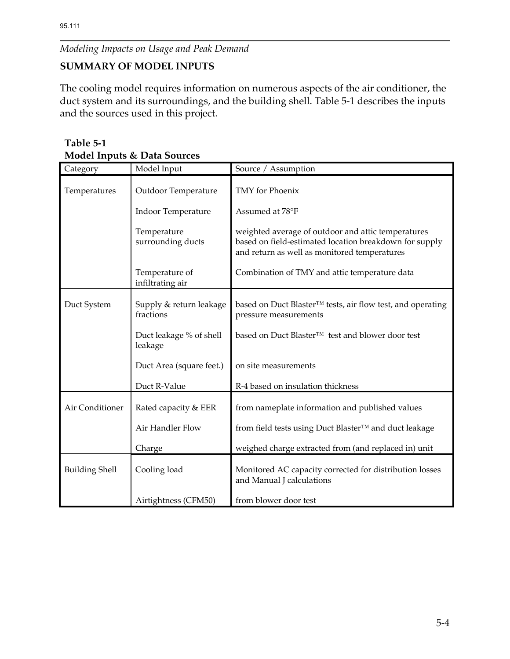# **SUMMARY OF MODEL INPUTS**

The cooling model requires information on numerous aspects of the air conditioner, the duct system and its surroundings, and the building shell. Table 5-1 describes the inputs and the sources used in this project.

| Table 5-1                              |
|----------------------------------------|
| <b>Model Inputs &amp; Data Sources</b> |

| Category              | Model Input                          | Source / Assumption                                                                                                                                          |
|-----------------------|--------------------------------------|--------------------------------------------------------------------------------------------------------------------------------------------------------------|
| Temperatures          | Outdoor Temperature                  | TMY for Phoenix                                                                                                                                              |
|                       | <b>Indoor Temperature</b>            | Assumed at 78°F                                                                                                                                              |
|                       | Temperature<br>surrounding ducts     | weighted average of outdoor and attic temperatures<br>based on field-estimated location breakdown for supply<br>and return as well as monitored temperatures |
|                       | Temperature of<br>infiltrating air   | Combination of TMY and attic temperature data                                                                                                                |
| Duct System           | Supply & return leakage<br>fractions | based on Duct Blaster™ tests, air flow test, and operating<br>pressure measurements                                                                          |
|                       | Duct leakage % of shell<br>leakage   | based on Duct Blaster™ test and blower door test                                                                                                             |
|                       | Duct Area (square feet.)             | on site measurements                                                                                                                                         |
|                       | Duct R-Value                         | R-4 based on insulation thickness                                                                                                                            |
| Air Conditioner       | Rated capacity & EER                 | from nameplate information and published values                                                                                                              |
|                       | Air Handler Flow                     | from field tests using Duct Blaster™ and duct leakage                                                                                                        |
|                       | Charge                               | weighed charge extracted from (and replaced in) unit                                                                                                         |
| <b>Building Shell</b> | Cooling load                         | Monitored AC capacity corrected for distribution losses<br>and Manual J calculations                                                                         |
|                       | Airtightness (CFM50)                 | from blower door test                                                                                                                                        |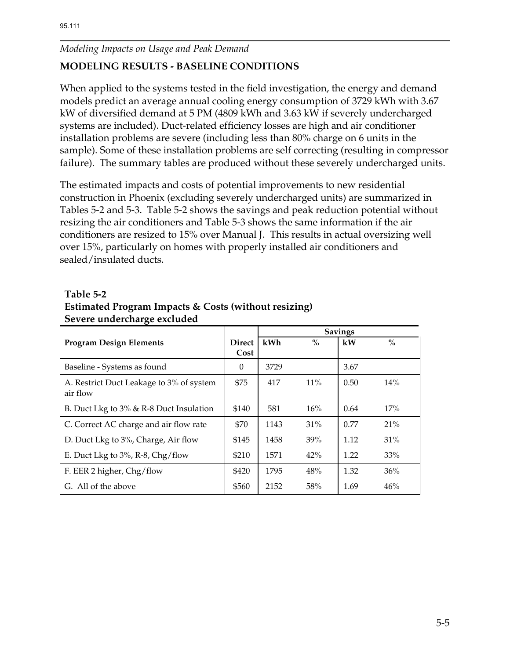# **MODELING RESULTS - BASELINE CONDITIONS**

When applied to the systems tested in the field investigation, the energy and demand models predict an average annual cooling energy consumption of 3729 kWh with 3.67 kW of diversified demand at 5 PM (4809 kWh and 3.63 kW if severely undercharged systems are included). Duct-related efficiency losses are high and air conditioner installation problems are severe (including less than 80% charge on 6 units in the sample). Some of these installation problems are self correcting (resulting in compressor failure). The summary tables are produced without these severely undercharged units.

The estimated impacts and costs of potential improvements to new residential construction in Phoenix (excluding severely undercharged units) are summarized in Tables 5-2 and 5-3. Table 5-2 shows the savings and peak reduction potential without resizing the air conditioners and Table 5-3 shows the same information if the air conditioners are resized to 15% over Manual J. This results in actual oversizing well over 15%, particularly on homes with properly installed air conditioners and sealed/insulated ducts.

#### **Table 5-2**

| Estimated Program Impacts & Costs (without resizing) |
|------------------------------------------------------|
| Severe undercharge excluded                          |

|                                          |               | <b>Savings</b> |        |      |        |
|------------------------------------------|---------------|----------------|--------|------|--------|
| <b>Program Design Elements</b>           | <b>Direct</b> | kWh            | $\%$   | kW   | $\%$   |
|                                          | Cost          |                |        |      |        |
| Baseline - Systems as found              | $\Omega$      | 3729           |        | 3.67 |        |
| A. Restrict Duct Leakage to 3% of system | \$75          | 417            | $11\%$ | 0.50 | 14%    |
| air flow                                 |               |                |        |      |        |
| B. Duct Lkg to 3% & R-8 Duct Insulation  | \$140         | 581            | 16%    | 0.64 | 17%    |
| C. Correct AC charge and air flow rate   | \$70          | 1143           | $31\%$ | 0.77 | 21%    |
| D. Duct Lkg to 3%, Charge, Air flow      | \$145         | 1458           | 39%    | 1.12 | $31\%$ |
| E. Duct Lkg to 3%, R-8, Chg/flow         | \$210         | 1571           | 42%    | 1.22 | 33%    |
| F. EER 2 higher, Chg/flow                | \$420         | 1795           | 48%    | 1.32 | 36%    |
| G. All of the above                      | \$560         | 2152           | 58%    | 1.69 | 46%    |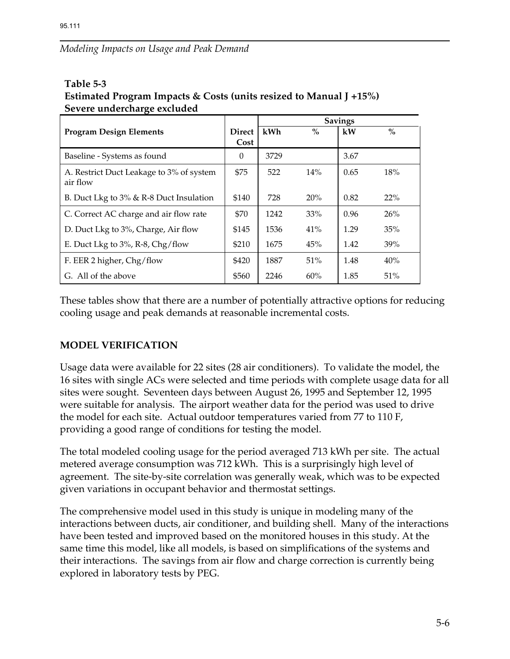#### **Table 5-3 Estimated Program Impacts & Costs (units resized to Manual J +15%) Severe undercharge excluded**

|                                          |               | <b>Savings</b> |        |      |      |
|------------------------------------------|---------------|----------------|--------|------|------|
| <b>Program Design Elements</b>           | <b>Direct</b> | kWh            | $\%$   | kW   | $\%$ |
|                                          | Cost          |                |        |      |      |
| Baseline - Systems as found              | $\Omega$      | 3729           |        | 3.67 |      |
| A. Restrict Duct Leakage to 3% of system | \$75          | 522            | 14%    | 0.65 | 18%  |
| air flow                                 |               |                |        |      |      |
| B. Duct Lkg to 3% & R-8 Duct Insulation  | \$140         | 728            | 20%    | 0.82 | 22%  |
| C. Correct AC charge and air flow rate   | \$70          | 1242           | 33%    | 0.96 | 26%  |
| D. Duct Lkg to 3%, Charge, Air flow      | \$145         | 1536           | $41\%$ | 1.29 | 35%  |
| E. Duct Lkg to 3%, R-8, Chg/flow         | \$210         | 1675           | 45%    | 1.42 | 39%  |
| F. EER 2 higher, Chg/flow                | \$420         | 1887           | 51%    | 1.48 | 40%  |
| G. All of the above                      | \$560         | 2246           | 60%    | 1.85 | 51%  |

These tables show that there are a number of potentially attractive options for reducing cooling usage and peak demands at reasonable incremental costs.

## **MODEL VERIFICATION**

Usage data were available for 22 sites (28 air conditioners). To validate the model, the 16 sites with single ACs were selected and time periods with complete usage data for all sites were sought. Seventeen days between August 26, 1995 and September 12, 1995 were suitable for analysis. The airport weather data for the period was used to drive the model for each site. Actual outdoor temperatures varied from 77 to 110 F, providing a good range of conditions for testing the model.

The total modeled cooling usage for the period averaged 713 kWh per site. The actual metered average consumption was 712 kWh. This is a surprisingly high level of agreement. The site-by-site correlation was generally weak, which was to be expected given variations in occupant behavior and thermostat settings.

The comprehensive model used in this study is unique in modeling many of the interactions between ducts, air conditioner, and building shell. Many of the interactions have been tested and improved based on the monitored houses in this study. At the same time this model, like all models, is based on simplifications of the systems and their interactions. The savings from air flow and charge correction is currently being explored in laboratory tests by PEG.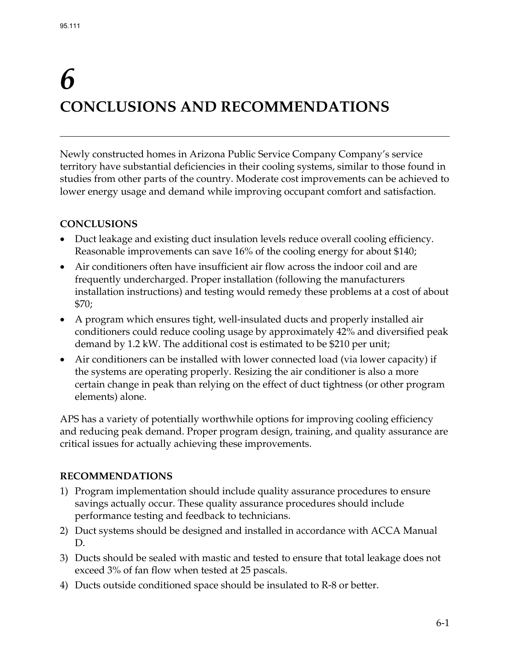# *6*  **CONCLUSIONS AND RECOMMENDATIONS**

Newly constructed homes in Arizona Public Service Company Company's service territory have substantial deficiencies in their cooling systems, similar to those found in studies from other parts of the country. Moderate cost improvements can be achieved to lower energy usage and demand while improving occupant comfort and satisfaction.

## **CONCLUSIONS**

- Duct leakage and existing duct insulation levels reduce overall cooling efficiency. Reasonable improvements can save 16% of the cooling energy for about \$140;
- Air conditioners often have insufficient air flow across the indoor coil and are frequently undercharged. Proper installation (following the manufacturers installation instructions) and testing would remedy these problems at a cost of about \$70;
- A program which ensures tight, well-insulated ducts and properly installed air conditioners could reduce cooling usage by approximately 42% and diversified peak demand by 1.2 kW. The additional cost is estimated to be \$210 per unit;
- Air conditioners can be installed with lower connected load (via lower capacity) if the systems are operating properly. Resizing the air conditioner is also a more certain change in peak than relying on the effect of duct tightness (or other program elements) alone.

APS has a variety of potentially worthwhile options for improving cooling efficiency and reducing peak demand. Proper program design, training, and quality assurance are critical issues for actually achieving these improvements.

## **RECOMMENDATIONS**

- 1) Program implementation should include quality assurance procedures to ensure savings actually occur. These quality assurance procedures should include performance testing and feedback to technicians.
- 2) Duct systems should be designed and installed in accordance with ACCA Manual D.
- 3) Ducts should be sealed with mastic and tested to ensure that total leakage does not exceed 3% of fan flow when tested at 25 pascals.
- 4) Ducts outside conditioned space should be insulated to R-8 or better.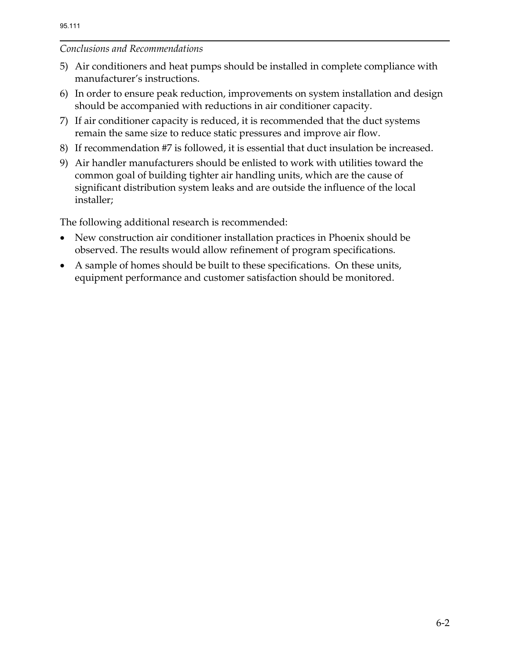### *Conclusions and Recommendations*

- 5) Air conditioners and heat pumps should be installed in complete compliance with manufacturer's instructions.
- 6) In order to ensure peak reduction, improvements on system installation and design should be accompanied with reductions in air conditioner capacity.
- 7) If air conditioner capacity is reduced, it is recommended that the duct systems remain the same size to reduce static pressures and improve air flow.
- 8) If recommendation #7 is followed, it is essential that duct insulation be increased.
- 9) Air handler manufacturers should be enlisted to work with utilities toward the common goal of building tighter air handling units, which are the cause of significant distribution system leaks and are outside the influence of the local installer;

The following additional research is recommended:

- New construction air conditioner installation practices in Phoenix should be observed. The results would allow refinement of program specifications.
- A sample of homes should be built to these specifications. On these units, equipment performance and customer satisfaction should be monitored.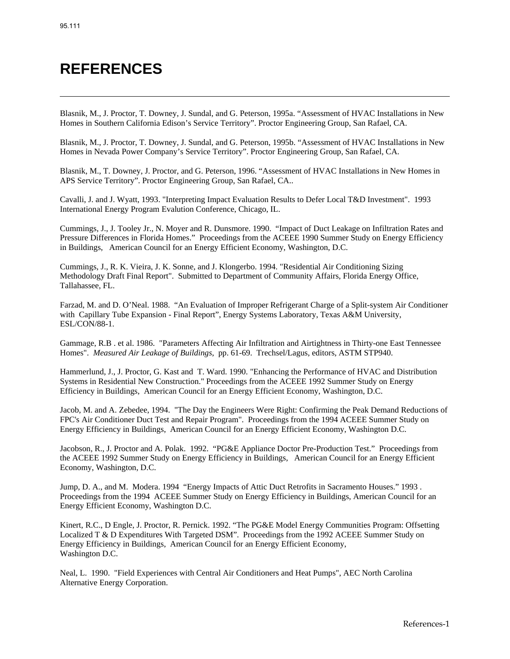# **REFERENCES**

Blasnik, M., J. Proctor, T. Downey, J. Sundal, and G. Peterson, 1995a. "Assessment of HVAC Installations in New Homes in Southern California Edison's Service Territory". Proctor Engineering Group, San Rafael, CA.

Blasnik, M., J. Proctor, T. Downey, J. Sundal, and G. Peterson, 1995b. "Assessment of HVAC Installations in New Homes in Nevada Power Company's Service Territory". Proctor Engineering Group, San Rafael, CA.

Blasnik, M., T. Downey, J. Proctor, and G. Peterson, 1996. "Assessment of HVAC Installations in New Homes in APS Service Territory". Proctor Engineering Group, San Rafael, CA..

Cavalli, J. and J. Wyatt, 1993. "Interpreting Impact Evaluation Results to Defer Local T&D Investment". 1993 International Energy Program Evalution Conference, Chicago, IL.

Cummings, J., J. Tooley Jr., N. Moyer and R. Dunsmore. 1990. "Impact of Duct Leakage on Infiltration Rates and Pressure Differences in Florida Homes." Proceedings from the ACEEE 1990 Summer Study on Energy Efficiency in Buildings, American Council for an Energy Efficient Economy, Washington, D.C.

Cummings, J., R. K. Vieira, J. K. Sonne, and J. Klongerbo. 1994. "Residential Air Conditioning Sizing Methodology Draft Final Report". Submitted to Department of Community Affairs, Florida Energy Office, Tallahassee, FL.

Farzad, M. and D. O'Neal. 1988. "An Evaluation of Improper Refrigerant Charge of a Split-system Air Conditioner with Capillary Tube Expansion - Final Report", Energy Systems Laboratory, Texas A&M University, ESL/CON/88-1.

Gammage, R.B . et al. 1986. "Parameters Affecting Air Infiltration and Airtightness in Thirty-one East Tennessee Homes". *Measured Air Leakage of Buildings*, pp. 61-69. Trechsel/Lagus, editors, ASTM STP940.

Hammerlund, J., J. Proctor, G. Kast and T. Ward. 1990. "Enhancing the Performance of HVAC and Distribution Systems in Residential New Construction." Proceedings from the ACEEE 1992 Summer Study on Energy Efficiency in Buildings, American Council for an Energy Efficient Economy, Washington, D.C.

Jacob, M. and A. Zebedee, 1994. "The Day the Engineers Were Right: Confirming the Peak Demand Reductions of FPC's Air Conditioner Duct Test and Repair Program". Proceedings from the 1994 ACEEE Summer Study on Energy Efficiency in Buildings, American Council for an Energy Efficient Economy, Washington D.C.

Jacobson, R., J. Proctor and A. Polak. 1992. "PG&E Appliance Doctor Pre-Production Test." Proceedings from the ACEEE 1992 Summer Study on Energy Efficiency in Buildings,American Council for an Energy Efficient Economy, Washington, D.C.

Jump, D. A., and M. Modera. 1994 "Energy Impacts of Attic Duct Retrofits in Sacramento Houses." 1993 . Proceedings from the 1994 ACEEE Summer Study on Energy Efficiency in Buildings, American Council for an Energy Efficient Economy, Washington D.C.

Kinert, R.C., D Engle, J. Proctor, R. Pernick. 1992. "The PG&E Model Energy Communities Program: Offsetting Localized T & D Expenditures With Targeted DSM". Proceedings from the 1992 ACEEE Summer Study on Energy Efficiency in Buildings, American Council for an Energy Efficient Economy, Washington D.C.

Neal, L. 1990. "Field Experiences with Central Air Conditioners and Heat Pumps", AEC North Carolina Alternative Energy Corporation.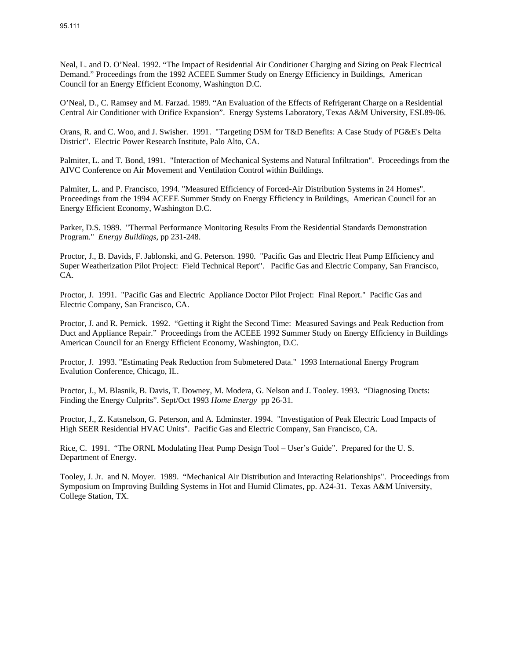Neal, L. and D. O'Neal. 1992. "The Impact of Residential Air Conditioner Charging and Sizing on Peak Electrical Demand." Proceedings from the 1992 ACEEE Summer Study on Energy Efficiency in Buildings, American Council for an Energy Efficient Economy, Washington D.C.

O'Neal, D., C. Ramsey and M. Farzad. 1989. "An Evaluation of the Effects of Refrigerant Charge on a Residential Central Air Conditioner with Orifice Expansion". Energy Systems Laboratory, Texas A&M University, ESL89-06.

Orans, R. and C. Woo, and J. Swisher. 1991. "Targeting DSM for T&D Benefits: A Case Study of PG&E's Delta District". Electric Power Research Institute, Palo Alto, CA.

Palmiter, L. and T. Bond, 1991. "Interaction of Mechanical Systems and Natural Infiltration". Proceedings from the AIVC Conference on Air Movement and Ventilation Control within Buildings.

Palmiter, L. and P. Francisco, 1994. "Measured Efficiency of Forced-Air Distribution Systems in 24 Homes". Proceedings from the 1994 ACEEE Summer Study on Energy Efficiency in Buildings, American Council for an Energy Efficient Economy, Washington D.C.

Parker, D.S. 1989. "Thermal Performance Monitoring Results From the Residential Standards Demonstration Program." *Energy Buildings*, pp 231-248.

Proctor, J., B. Davids, F. Jablonski, and G. Peterson. 1990. "Pacific Gas and Electric Heat Pump Efficiency and Super Weatherization Pilot Project: Field Technical Report". Pacific Gas and Electric Company, San Francisco, CA.

Proctor, J. 1991. "Pacific Gas and Electric Appliance Doctor Pilot Project: Final Report." Pacific Gas and Electric Company, San Francisco, CA.

Proctor, J. and R. Pernick. 1992. "Getting it Right the Second Time: Measured Savings and Peak Reduction from Duct and Appliance Repair." Proceedings from the ACEEE 1992 Summer Study on Energy Efficiency in Buildings American Council for an Energy Efficient Economy, Washington, D.C.

Proctor, J. 1993. "Estimating Peak Reduction from Submetered Data." 1993 International Energy Program Evalution Conference, Chicago, IL.

Proctor, J., M. Blasnik, B. Davis, T. Downey, M. Modera, G. Nelson and J. Tooley. 1993. "Diagnosing Ducts: Finding the Energy Culprits". Sept/Oct 1993 *Home Energy* pp 26-31.

Proctor, J., Z. Katsnelson, G. Peterson, and A. Edminster. 1994. "Investigation of Peak Electric Load Impacts of High SEER Residential HVAC Units". Pacific Gas and Electric Company, San Francisco, CA.

Rice, C. 1991. "The ORNL Modulating Heat Pump Design Tool – User's Guide". Prepared for the U. S. Department of Energy.

Tooley, J. Jr. and N. Moyer. 1989. "Mechanical Air Distribution and Interacting Relationships". Proceedings from Symposium on Improving Building Systems in Hot and Humid Climates, pp. A24-31. Texas A&M University, College Station, TX.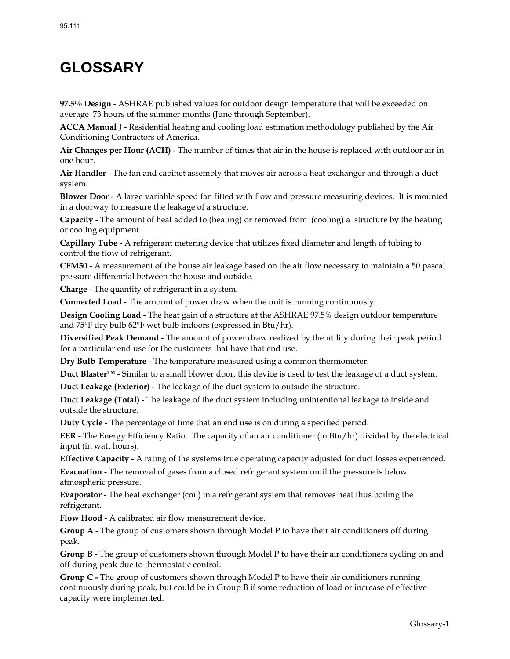# **GLOSSARY**

**97.5% Design** - ASHRAE published values for outdoor design temperature that will be exceeded on average 73 hours of the summer months (June through September).

**ACCA Manual J** - Residential heating and cooling load estimation methodology published by the Air Conditioning Contractors of America.

**Air Changes per Hour (ACH)** - The number of times that air in the house is replaced with outdoor air in one hour.

**Air Handler** - The fan and cabinet assembly that moves air across a heat exchanger and through a duct system.

**Blower Door** - A large variable speed fan fitted with flow and pressure measuring devices. It is mounted in a doorway to measure the leakage of a structure.

**Capacity** - The amount of heat added to (heating) or removed from (cooling) a structure by the heating or cooling equipment.

**Capillary Tube** - A refrigerant metering device that utilizes fixed diameter and length of tubing to control the flow of refrigerant.

**CFM50 -** A measurement of the house air leakage based on the air flow necessary to maintain a 50 pascal pressure differential between the house and outside.

**Charge** - The quantity of refrigerant in a system.

**Connected Load** - The amount of power draw when the unit is running continuously.

**Design Cooling Load** - The heat gain of a structure at the ASHRAE 97.5% design outdoor temperature and 75°F dry bulb 62°F wet bulb indoors (expressed in Btu/hr).

**Diversified Peak Demand** - The amount of power draw realized by the utility during their peak period for a particular end use for the customers that have that end use.

**Dry Bulb Temperature** - The temperature measured using a common thermometer.

**Duct Blaster™** - Similar to a small blower door, this device is used to test the leakage of a duct system.

**Duct Leakage (Exterior)** - The leakage of the duct system to outside the structure.

**Duct Leakage (Total)** - The leakage of the duct system including unintentional leakage to inside and outside the structure.

**Duty Cycle** - The percentage of time that an end use is on during a specified period.

**EER** - The Energy Efficiency Ratio. The capacity of an air conditioner (in Btu/hr) divided by the electrical input (in watt hours).

**Effective Capacity -** A rating of the systems true operating capacity adjusted for duct losses experienced. **Evacuation** - The removal of gases from a closed refrigerant system until the pressure is below atmospheric pressure.

**Evaporator** - The heat exchanger (coil) in a refrigerant system that removes heat thus boiling the refrigerant.

**Flow Hood** - A calibrated air flow measurement device.

**Group A -** The group of customers shown through Model P to have their air conditioners off during peak.

**Group B -** The group of customers shown through Model P to have their air conditioners cycling on and off during peak due to thermostatic control.

**Group C -** The group of customers shown through Model P to have their air conditioners running continuously during peak, but could be in Group B if some reduction of load or increase of effective capacity were implemented.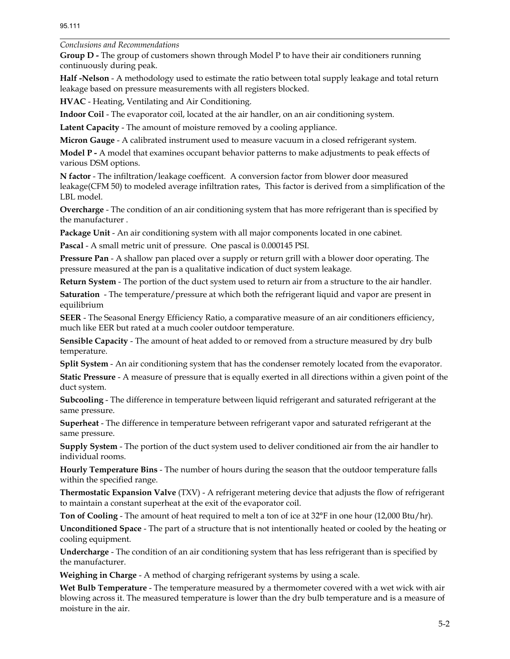*Conclusions and Recommendations* 

**Group D -** The group of customers shown through Model P to have their air conditioners running continuously during peak.

**Half -Nelson** - A methodology used to estimate the ratio between total supply leakage and total return leakage based on pressure measurements with all registers blocked.

**HVAC** - Heating, Ventilating and Air Conditioning.

**Indoor Coil** - The evaporator coil, located at the air handler, on an air conditioning system.

**Latent Capacity** - The amount of moisture removed by a cooling appliance.

**Micron Gauge** - A calibrated instrument used to measure vacuum in a closed refrigerant system.

**Model P -** A model that examines occupant behavior patterns to make adjustments to peak effects of various DSM options.

**N factor** - The infiltration/leakage coefficent. A conversion factor from blower door measured leakage(CFM 50) to modeled average infiltration rates, This factor is derived from a simplification of the LBL model.

**Overcharge** - The condition of an air conditioning system that has more refrigerant than is specified by the manufacturer .

**Package Unit** - An air conditioning system with all major components located in one cabinet.

**Pascal** - A small metric unit of pressure. One pascal is 0.000145 PSI.

**Pressure Pan** - A shallow pan placed over a supply or return grill with a blower door operating. The pressure measured at the pan is a qualitative indication of duct system leakage.

**Return System** - The portion of the duct system used to return air from a structure to the air handler.

**Saturation** - The temperature/pressure at which both the refrigerant liquid and vapor are present in equilibrium

**SEER** - The Seasonal Energy Efficiency Ratio, a comparative measure of an air conditioners efficiency, much like EER but rated at a much cooler outdoor temperature.

**Sensible Capacity** - The amount of heat added to or removed from a structure measured by dry bulb temperature.

**Split System** - An air conditioning system that has the condenser remotely located from the evaporator.

**Static Pressure** - A measure of pressure that is equally exerted in all directions within a given point of the duct system.

**Subcooling** - The difference in temperature between liquid refrigerant and saturated refrigerant at the same pressure.

**Superheat** - The difference in temperature between refrigerant vapor and saturated refrigerant at the same pressure.

**Supply System** - The portion of the duct system used to deliver conditioned air from the air handler to individual rooms.

**Hourly Temperature Bins** - The number of hours during the season that the outdoor temperature falls within the specified range.

**Thermostatic Expansion Valve** (TXV) - A refrigerant metering device that adjusts the flow of refrigerant to maintain a constant superheat at the exit of the evaporator coil.

**Ton of Cooling** - The amount of heat required to melt a ton of ice at 32°F in one hour (12,000 Btu/hr).

**Unconditioned Space** - The part of a structure that is not intentionally heated or cooled by the heating or cooling equipment.

**Undercharge** - The condition of an air conditioning system that has less refrigerant than is specified by the manufacturer.

**Weighing in Charge** - A method of charging refrigerant systems by using a scale.

**Wet Bulb Temperature** - The temperature measured by a thermometer covered with a wet wick with air blowing across it. The measured temperature is lower than the dry bulb temperature and is a measure of moisture in the air.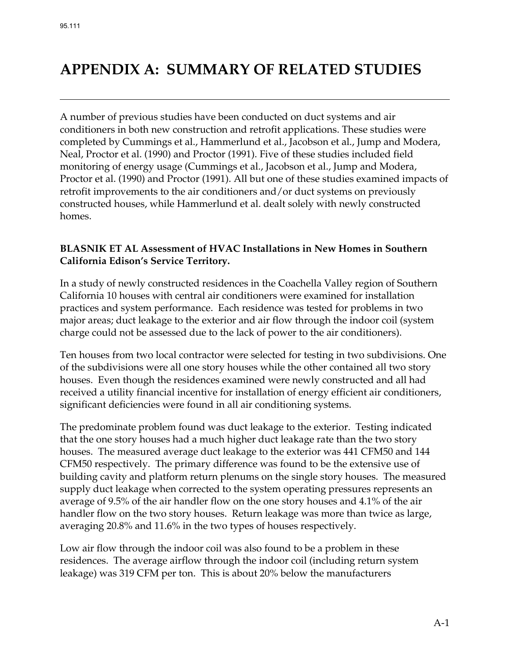# **APPENDIX A: SUMMARY OF RELATED STUDIES**

A number of previous studies have been conducted on duct systems and air conditioners in both new construction and retrofit applications. These studies were completed by Cummings et al., Hammerlund et al., Jacobson et al., Jump and Modera, Neal, Proctor et al. (1990) and Proctor (1991). Five of these studies included field monitoring of energy usage (Cummings et al., Jacobson et al., Jump and Modera, Proctor et al. (1990) and Proctor (1991). All but one of these studies examined impacts of retrofit improvements to the air conditioners and/or duct systems on previously constructed houses, while Hammerlund et al. dealt solely with newly constructed homes.

#### **BLASNIK ET AL Assessment of HVAC Installations in New Homes in Southern California Edison's Service Territory.**

In a study of newly constructed residences in the Coachella Valley region of Southern California 10 houses with central air conditioners were examined for installation practices and system performance. Each residence was tested for problems in two major areas; duct leakage to the exterior and air flow through the indoor coil (system charge could not be assessed due to the lack of power to the air conditioners).

Ten houses from two local contractor were selected for testing in two subdivisions. One of the subdivisions were all one story houses while the other contained all two story houses. Even though the residences examined were newly constructed and all had received a utility financial incentive for installation of energy efficient air conditioners, significant deficiencies were found in all air conditioning systems.

The predominate problem found was duct leakage to the exterior. Testing indicated that the one story houses had a much higher duct leakage rate than the two story houses. The measured average duct leakage to the exterior was 441 CFM50 and 144 CFM50 respectively. The primary difference was found to be the extensive use of building cavity and platform return plenums on the single story houses. The measured supply duct leakage when corrected to the system operating pressures represents an average of 9.5% of the air handler flow on the one story houses and 4.1% of the air handler flow on the two story houses. Return leakage was more than twice as large, averaging 20.8% and 11.6% in the two types of houses respectively.

Low air flow through the indoor coil was also found to be a problem in these residences. The average airflow through the indoor coil (including return system leakage) was 319 CFM per ton. This is about 20% below the manufacturers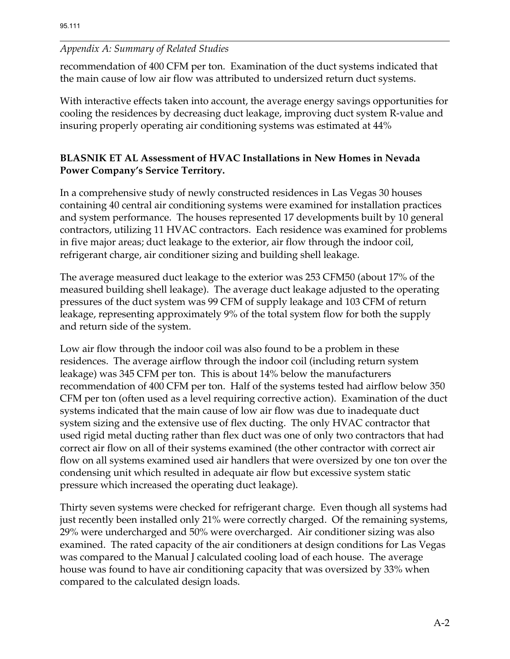recommendation of 400 CFM per ton. Examination of the duct systems indicated that the main cause of low air flow was attributed to undersized return duct systems.

With interactive effects taken into account, the average energy savings opportunities for cooling the residences by decreasing duct leakage, improving duct system R-value and insuring properly operating air conditioning systems was estimated at 44%

# **BLASNIK ET AL Assessment of HVAC Installations in New Homes in Nevada Power Company's Service Territory.**

In a comprehensive study of newly constructed residences in Las Vegas 30 houses containing 40 central air conditioning systems were examined for installation practices and system performance. The houses represented 17 developments built by 10 general contractors, utilizing 11 HVAC contractors. Each residence was examined for problems in five major areas; duct leakage to the exterior, air flow through the indoor coil, refrigerant charge, air conditioner sizing and building shell leakage.

The average measured duct leakage to the exterior was 253 CFM50 (about 17% of the measured building shell leakage). The average duct leakage adjusted to the operating pressures of the duct system was 99 CFM of supply leakage and 103 CFM of return leakage, representing approximately 9% of the total system flow for both the supply and return side of the system.

Low air flow through the indoor coil was also found to be a problem in these residences. The average airflow through the indoor coil (including return system leakage) was 345 CFM per ton. This is about 14% below the manufacturers recommendation of 400 CFM per ton. Half of the systems tested had airflow below 350 CFM per ton (often used as a level requiring corrective action). Examination of the duct systems indicated that the main cause of low air flow was due to inadequate duct system sizing and the extensive use of flex ducting. The only HVAC contractor that used rigid metal ducting rather than flex duct was one of only two contractors that had correct air flow on all of their systems examined (the other contractor with correct air flow on all systems examined used air handlers that were oversized by one ton over the condensing unit which resulted in adequate air flow but excessive system static pressure which increased the operating duct leakage).

Thirty seven systems were checked for refrigerant charge. Even though all systems had just recently been installed only 21% were correctly charged. Of the remaining systems, 29% were undercharged and 50% were overcharged. Air conditioner sizing was also examined. The rated capacity of the air conditioners at design conditions for Las Vegas was compared to the Manual J calculated cooling load of each house. The average house was found to have air conditioning capacity that was oversized by 33% when compared to the calculated design loads.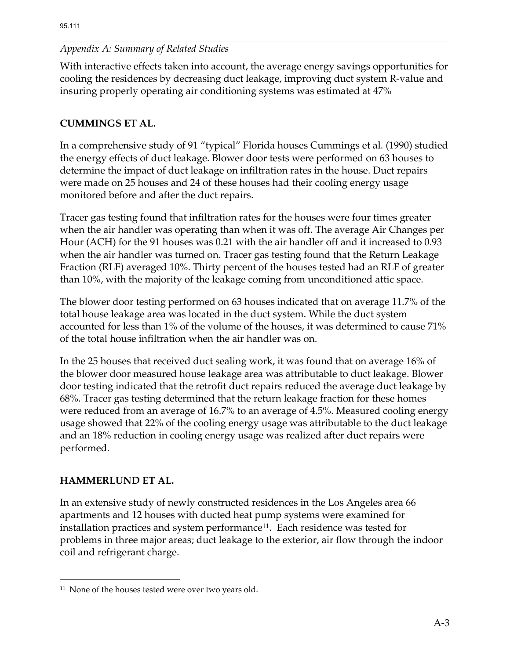With interactive effects taken into account, the average energy savings opportunities for cooling the residences by decreasing duct leakage, improving duct system R-value and insuring properly operating air conditioning systems was estimated at 47%

# **CUMMINGS ET AL.**

In a comprehensive study of 91 "typical" Florida houses Cummings et al. (1990) studied the energy effects of duct leakage. Blower door tests were performed on 63 houses to determine the impact of duct leakage on infiltration rates in the house. Duct repairs were made on 25 houses and 24 of these houses had their cooling energy usage monitored before and after the duct repairs.

Tracer gas testing found that infiltration rates for the houses were four times greater when the air handler was operating than when it was off. The average Air Changes per Hour (ACH) for the 91 houses was 0.21 with the air handler off and it increased to 0.93 when the air handler was turned on. Tracer gas testing found that the Return Leakage Fraction (RLF) averaged 10%. Thirty percent of the houses tested had an RLF of greater than 10%, with the majority of the leakage coming from unconditioned attic space.

The blower door testing performed on 63 houses indicated that on average 11.7% of the total house leakage area was located in the duct system. While the duct system accounted for less than 1% of the volume of the houses, it was determined to cause 71% of the total house infiltration when the air handler was on.

In the 25 houses that received duct sealing work, it was found that on average 16% of the blower door measured house leakage area was attributable to duct leakage. Blower door testing indicated that the retrofit duct repairs reduced the average duct leakage by 68%. Tracer gas testing determined that the return leakage fraction for these homes were reduced from an average of 16.7% to an average of 4.5%. Measured cooling energy usage showed that 22% of the cooling energy usage was attributable to the duct leakage and an 18% reduction in cooling energy usage was realized after duct repairs were performed.

## **HAMMERLUND ET AL.**

 $\overline{a}$ 

In an extensive study of newly constructed residences in the Los Angeles area 66 apartments and 12 houses with ducted heat pump systems were examined for installation practices and system performance<sup>11</sup>. Each residence was tested for problems in three major areas; duct leakage to the exterior, air flow through the indoor coil and refrigerant charge.

<sup>&</sup>lt;sup>11</sup> None of the houses tested were over two years old.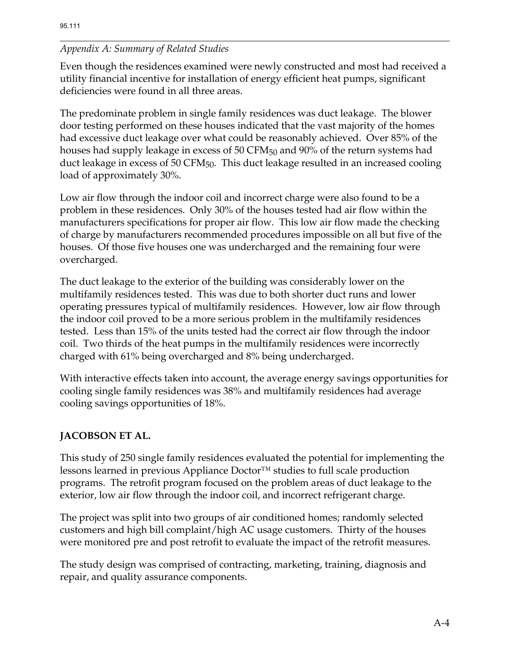Even though the residences examined were newly constructed and most had received a utility financial incentive for installation of energy efficient heat pumps, significant deficiencies were found in all three areas.

The predominate problem in single family residences was duct leakage. The blower door testing performed on these houses indicated that the vast majority of the homes had excessive duct leakage over what could be reasonably achieved. Over 85% of the houses had supply leakage in excess of 50 CFM<sub>50</sub> and 90% of the return systems had duct leakage in excess of 50 CFM $_{50}$ . This duct leakage resulted in an increased cooling load of approximately 30%.

Low air flow through the indoor coil and incorrect charge were also found to be a problem in these residences. Only 30% of the houses tested had air flow within the manufacturers specifications for proper air flow. This low air flow made the checking of charge by manufacturers recommended procedures impossible on all but five of the houses. Of those five houses one was undercharged and the remaining four were overcharged.

The duct leakage to the exterior of the building was considerably lower on the multifamily residences tested. This was due to both shorter duct runs and lower operating pressures typical of multifamily residences. However, low air flow through the indoor coil proved to be a more serious problem in the multifamily residences tested. Less than 15% of the units tested had the correct air flow through the indoor coil. Two thirds of the heat pumps in the multifamily residences were incorrectly charged with 61% being overcharged and 8% being undercharged.

With interactive effects taken into account, the average energy savings opportunities for cooling single family residences was 38% and multifamily residences had average cooling savings opportunities of 18%.

## **JACOBSON ET AL.**

This study of 250 single family residences evaluated the potential for implementing the lessons learned in previous Appliance Doctor™ studies to full scale production programs. The retrofit program focused on the problem areas of duct leakage to the exterior, low air flow through the indoor coil, and incorrect refrigerant charge.

The project was split into two groups of air conditioned homes; randomly selected customers and high bill complaint/high AC usage customers. Thirty of the houses were monitored pre and post retrofit to evaluate the impact of the retrofit measures.

The study design was comprised of contracting, marketing, training, diagnosis and repair, and quality assurance components.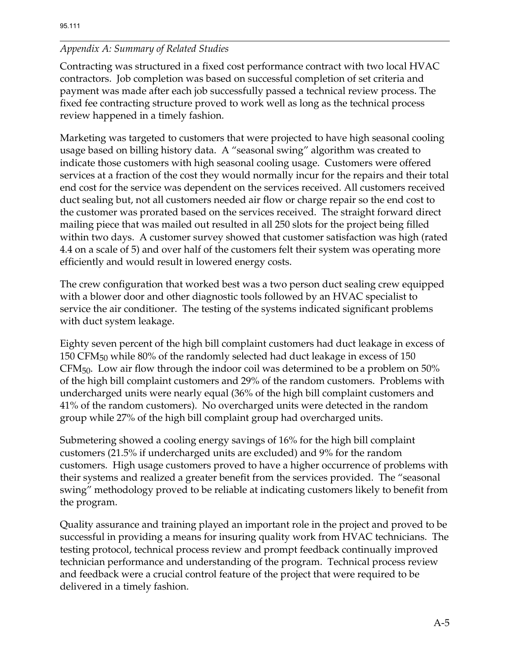Contracting was structured in a fixed cost performance contract with two local HVAC contractors. Job completion was based on successful completion of set criteria and payment was made after each job successfully passed a technical review process. The fixed fee contracting structure proved to work well as long as the technical process review happened in a timely fashion.

Marketing was targeted to customers that were projected to have high seasonal cooling usage based on billing history data. A "seasonal swing" algorithm was created to indicate those customers with high seasonal cooling usage. Customers were offered services at a fraction of the cost they would normally incur for the repairs and their total end cost for the service was dependent on the services received. All customers received duct sealing but, not all customers needed air flow or charge repair so the end cost to the customer was prorated based on the services received. The straight forward direct mailing piece that was mailed out resulted in all 250 slots for the project being filled within two days. A customer survey showed that customer satisfaction was high (rated 4.4 on a scale of 5) and over half of the customers felt their system was operating more efficiently and would result in lowered energy costs.

The crew configuration that worked best was a two person duct sealing crew equipped with a blower door and other diagnostic tools followed by an HVAC specialist to service the air conditioner. The testing of the systems indicated significant problems with duct system leakage.

Eighty seven percent of the high bill complaint customers had duct leakage in excess of 150 CFM50 while 80% of the randomly selected had duct leakage in excess of 150 CFM50. Low air flow through the indoor coil was determined to be a problem on 50% of the high bill complaint customers and 29% of the random customers. Problems with undercharged units were nearly equal (36% of the high bill complaint customers and 41% of the random customers). No overcharged units were detected in the random group while 27% of the high bill complaint group had overcharged units.

Submetering showed a cooling energy savings of 16% for the high bill complaint customers (21.5% if undercharged units are excluded) and 9% for the random customers. High usage customers proved to have a higher occurrence of problems with their systems and realized a greater benefit from the services provided. The "seasonal swing" methodology proved to be reliable at indicating customers likely to benefit from the program.

Quality assurance and training played an important role in the project and proved to be successful in providing a means for insuring quality work from HVAC technicians. The testing protocol, technical process review and prompt feedback continually improved technician performance and understanding of the program. Technical process review and feedback were a crucial control feature of the project that were required to be delivered in a timely fashion.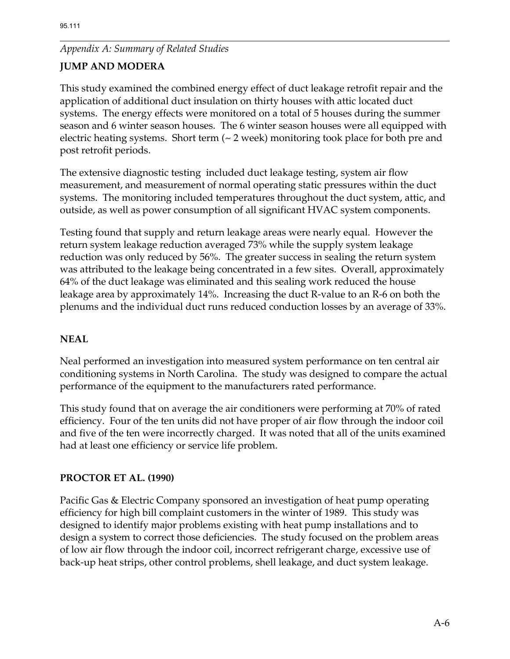# **JUMP AND MODERA**

This study examined the combined energy effect of duct leakage retrofit repair and the application of additional duct insulation on thirty houses with attic located duct systems. The energy effects were monitored on a total of 5 houses during the summer season and 6 winter season houses. The 6 winter season houses were all equipped with electric heating systems. Short term (~ 2 week) monitoring took place for both pre and post retrofit periods.

The extensive diagnostic testing included duct leakage testing, system air flow measurement, and measurement of normal operating static pressures within the duct systems. The monitoring included temperatures throughout the duct system, attic, and outside, as well as power consumption of all significant HVAC system components.

Testing found that supply and return leakage areas were nearly equal. However the return system leakage reduction averaged 73% while the supply system leakage reduction was only reduced by 56%. The greater success in sealing the return system was attributed to the leakage being concentrated in a few sites. Overall, approximately 64% of the duct leakage was eliminated and this sealing work reduced the house leakage area by approximately 14%. Increasing the duct R-value to an R-6 on both the plenums and the individual duct runs reduced conduction losses by an average of 33%.

## **NEAL**

Neal performed an investigation into measured system performance on ten central air conditioning systems in North Carolina. The study was designed to compare the actual performance of the equipment to the manufacturers rated performance.

This study found that on average the air conditioners were performing at 70% of rated efficiency. Four of the ten units did not have proper of air flow through the indoor coil and five of the ten were incorrectly charged. It was noted that all of the units examined had at least one efficiency or service life problem.

#### **PROCTOR ET AL. (1990)**

Pacific Gas & Electric Company sponsored an investigation of heat pump operating efficiency for high bill complaint customers in the winter of 1989. This study was designed to identify major problems existing with heat pump installations and to design a system to correct those deficiencies. The study focused on the problem areas of low air flow through the indoor coil, incorrect refrigerant charge, excessive use of back-up heat strips, other control problems, shell leakage, and duct system leakage.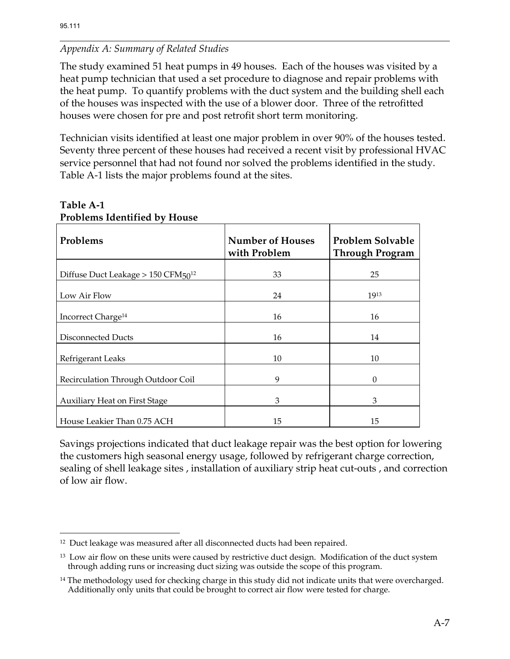The study examined 51 heat pumps in 49 houses. Each of the houses was visited by a heat pump technician that used a set procedure to diagnose and repair problems with the heat pump. To quantify problems with the duct system and the building shell each of the houses was inspected with the use of a blower door. Three of the retrofitted houses were chosen for pre and post retrofit short term monitoring.

Technician visits identified at least one major problem in over 90% of the houses tested. Seventy three percent of these houses had received a recent visit by professional HVAC service personnel that had not found nor solved the problems identified in the study. Table A-1 lists the major problems found at the sites.

| Problems                                   | <b>Number of Houses</b><br>with Problem | Problem Solvable<br><b>Through Program</b> |
|--------------------------------------------|-----------------------------------------|--------------------------------------------|
| Diffuse Duct Leakage $> 150$ CFM $50^{12}$ | 33                                      | 25                                         |
| Low Air Flow                               | 24                                      | 1913                                       |
| Incorrect Charge <sup>14</sup>             | 16                                      | 16                                         |
| Disconnected Ducts                         | 16                                      | 14                                         |
| Refrigerant Leaks                          | 10                                      | 10                                         |
| Recirculation Through Outdoor Coil         | 9                                       | $\Omega$                                   |
| <b>Auxiliary Heat on First Stage</b>       | 3                                       | 3                                          |
| House Leakier Than 0.75 ACH                | 15                                      | 15                                         |

# **Table A-1 Problems Identified by House**

Savings projections indicated that duct leakage repair was the best option for lowering the customers high seasonal energy usage, followed by refrigerant charge correction, sealing of shell leakage sites , installation of auxiliary strip heat cut-outs , and correction of low air flow.

 $\overline{a}$ <sup>12</sup> Duct leakage was measured after all disconnected ducts had been repaired.

<sup>&</sup>lt;sup>13</sup> Low air flow on these units were caused by restrictive duct design. Modification of the duct system through adding runs or increasing duct sizing was outside the scope of this program.

<sup>&</sup>lt;sup>14</sup> The methodology used for checking charge in this study did not indicate units that were overcharged. Additionally only units that could be brought to correct air flow were tested for charge.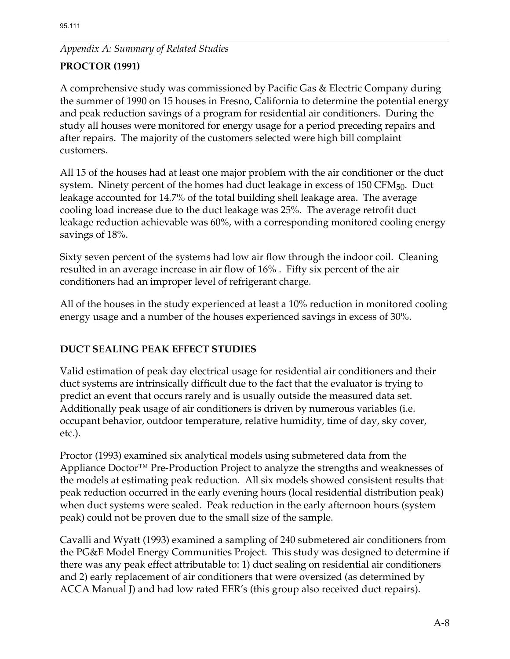# **PROCTOR (1991)**

A comprehensive study was commissioned by Pacific Gas & Electric Company during the summer of 1990 on 15 houses in Fresno, California to determine the potential energy and peak reduction savings of a program for residential air conditioners. During the study all houses were monitored for energy usage for a period preceding repairs and after repairs. The majority of the customers selected were high bill complaint customers.

All 15 of the houses had at least one major problem with the air conditioner or the duct system. Ninety percent of the homes had duct leakage in excess of 150 CFM<sub>50</sub>. Duct leakage accounted for 14.7% of the total building shell leakage area. The average cooling load increase due to the duct leakage was 25%. The average retrofit duct leakage reduction achievable was 60%, with a corresponding monitored cooling energy savings of 18%.

Sixty seven percent of the systems had low air flow through the indoor coil. Cleaning resulted in an average increase in air flow of 16% . Fifty six percent of the air conditioners had an improper level of refrigerant charge.

All of the houses in the study experienced at least a 10% reduction in monitored cooling energy usage and a number of the houses experienced savings in excess of 30%.

## **DUCT SEALING PEAK EFFECT STUDIES**

Valid estimation of peak day electrical usage for residential air conditioners and their duct systems are intrinsically difficult due to the fact that the evaluator is trying to predict an event that occurs rarely and is usually outside the measured data set. Additionally peak usage of air conditioners is driven by numerous variables (i.e. occupant behavior, outdoor temperature, relative humidity, time of day, sky cover, etc.).

Proctor (1993) examined six analytical models using submetered data from the Appliance Doctor™ Pre-Production Project to analyze the strengths and weaknesses of the models at estimating peak reduction. All six models showed consistent results that peak reduction occurred in the early evening hours (local residential distribution peak) when duct systems were sealed. Peak reduction in the early afternoon hours (system peak) could not be proven due to the small size of the sample.

Cavalli and Wyatt (1993) examined a sampling of 240 submetered air conditioners from the PG&E Model Energy Communities Project. This study was designed to determine if there was any peak effect attributable to: 1) duct sealing on residential air conditioners and 2) early replacement of air conditioners that were oversized (as determined by ACCA Manual J) and had low rated EER's (this group also received duct repairs).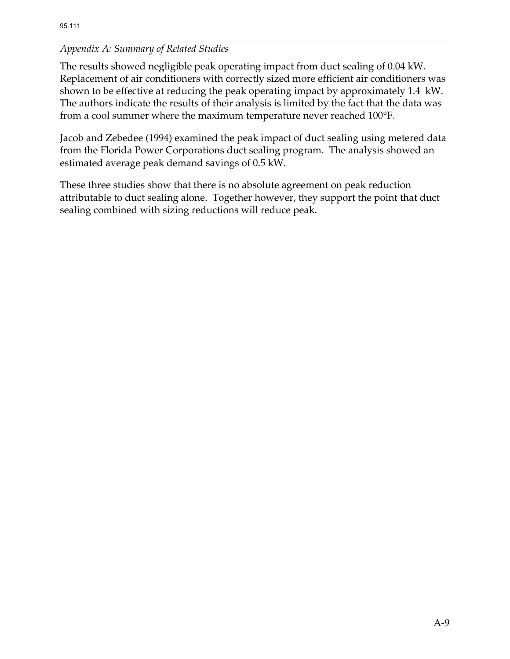The results showed negligible peak operating impact from duct sealing of 0.04 kW. Replacement of air conditioners with correctly sized more efficient air conditioners was shown to be effective at reducing the peak operating impact by approximately 1.4 kW. The authors indicate the results of their analysis is limited by the fact that the data was from a cool summer where the maximum temperature never reached 100°F.

Jacob and Zebedee (1994) examined the peak impact of duct sealing using metered data from the Florida Power Corporations duct sealing program. The analysis showed an estimated average peak demand savings of 0.5 kW.

These three studies show that there is no absolute agreement on peak reduction attributable to duct sealing alone. Together however, they support the point that duct sealing combined with sizing reductions will reduce peak.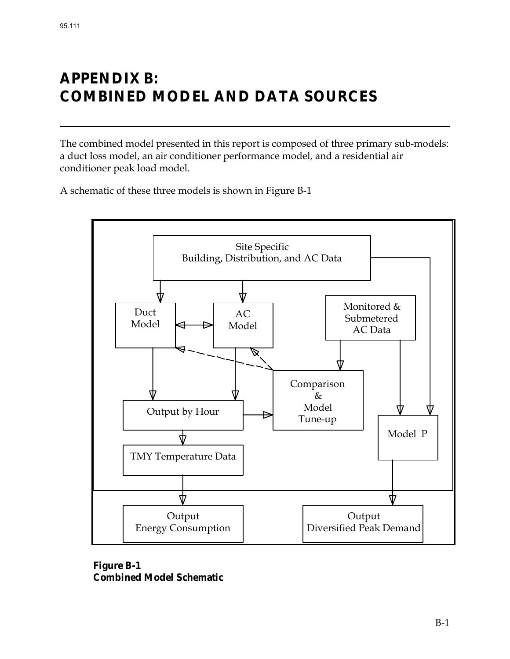# **APPENDIX B: COMBINED MODEL AND DATA SOURCES**

The combined model presented in this report is composed of three primary sub-models: a duct loss model, an air conditioner performance model, and a residential air conditioner peak load model.

A schematic of these three models is shown in Figure B-1



**Figure B-1 Combined Model Schematic**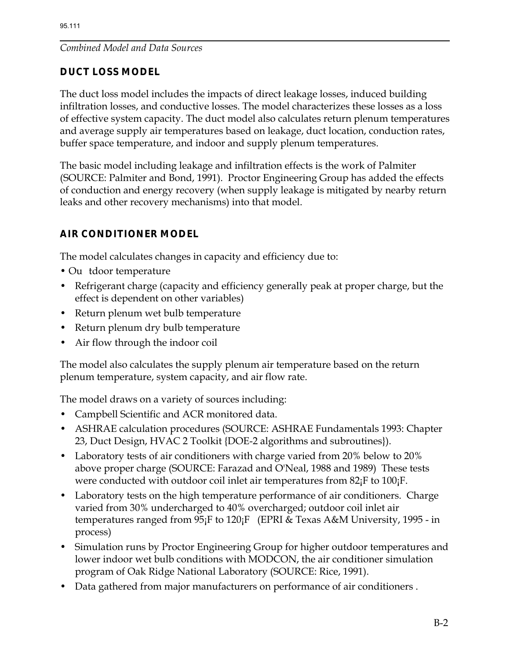## *Combined Model and Data Sources*

# **DUCT LOSS MODEL**

The duct loss model includes the impacts of direct leakage losses, induced building infiltration losses, and conductive losses. The model characterizes these losses as a loss of effective system capacity. The duct model also calculates return plenum temperatures and average supply air temperatures based on leakage, duct location, conduction rates, buffer space temperature, and indoor and supply plenum temperatures.

The basic model including leakage and infiltration effects is the work of Palmiter (SOURCE: Palmiter and Bond, 1991). Proctor Engineering Group has added the effects of conduction and energy recovery (when supply leakage is mitigated by nearby return leaks and other recovery mechanisms) into that model.

# **AIR CONDITIONER MODEL**

The model calculates changes in capacity and efficiency due to:

- Ou tdoor temperature
- Refrigerant charge (capacity and efficiency generally peak at proper charge, but the effect is dependent on other variables)
- Return plenum wet bulb temperature
- Return plenum dry bulb temperature
- Air flow through the indoor coil

The model also calculates the supply plenum air temperature based on the return plenum temperature, system capacity, and air flow rate.

The model draws on a variety of sources including:

- Campbell Scientific and ACR monitored data.
- ASHRAE calculation procedures (SOURCE: ASHRAE Fundamentals 1993: Chapter 23, Duct Design, HVAC 2 Toolkit {DOE-2 algorithms and subroutines}).
- Laboratory tests of air conditioners with charge varied from 20% below to 20% above proper charge (SOURCE: Farazad and O'Neal, 1988 and 1989) These tests were conducted with outdoor coil inlet air temperatures from 82<sub>i</sub>F to 100<sub>i</sub>F.
- Laboratory tests on the high temperature performance of air conditioners. Charge varied from 30% undercharged to 40% overcharged; outdoor coil inlet air temperatures ranged from 95¡F to 120¡F (EPRI & Texas A&M University, 1995 - in process)
- Simulation runs by Proctor Engineering Group for higher outdoor temperatures and lower indoor wet bulb conditions with MODCON, the air conditioner simulation program of Oak Ridge National Laboratory (SOURCE: Rice, 1991).
- Data gathered from major manufacturers on performance of air conditioners .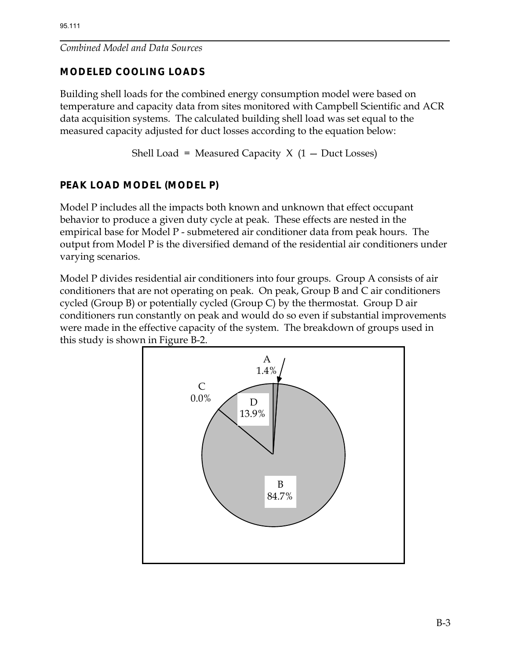# *Combined Model and Data Sources*

# **MODELED COOLING LOADS**

Building shell loads for the combined energy consumption model were based on temperature and capacity data from sites monitored with Campbell Scientific and ACR data acquisition systems. The calculated building shell load was set equal to the measured capacity adjusted for duct losses according to the equation below:

Shell Load = Measured Capacity  $X$  (1 – Duct Losses)

# **PEAK LOAD MODEL (MODEL P)**

Model P includes all the impacts both known and unknown that effect occupant behavior to produce a given duty cycle at peak. These effects are nested in the empirical base for Model P - submetered air conditioner data from peak hours. The output from Model P is the diversified demand of the residential air conditioners under varying scenarios.

Model P divides residential air conditioners into four groups. Group A consists of air conditioners that are not operating on peak. On peak, Group B and C air conditioners cycled (Group B) or potentially cycled (Group C) by the thermostat. Group D air conditioners run constantly on peak and would do so even if substantial improvements were made in the effective capacity of the system. The breakdown of groups used in this study is shown in Figure B-2.

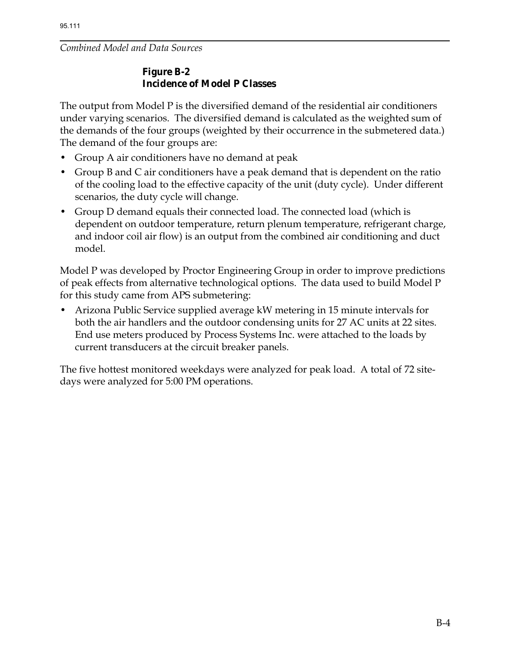#### *Combined Model and Data Sources*

#### **Figure B-2 Incidence of Model P Classes**

The output from Model P is the diversified demand of the residential air conditioners under varying scenarios. The diversified demand is calculated as the weighted sum of the demands of the four groups (weighted by their occurrence in the submetered data.) The demand of the four groups are:

- Group A air conditioners have no demand at peak
- Group B and C air conditioners have a peak demand that is dependent on the ratio of the cooling load to the effective capacity of the unit (duty cycle). Under different scenarios, the duty cycle will change.
- Group D demand equals their connected load. The connected load (which is dependent on outdoor temperature, return plenum temperature, refrigerant charge, and indoor coil air flow) is an output from the combined air conditioning and duct model.

Model P was developed by Proctor Engineering Group in order to improve predictions of peak effects from alternative technological options. The data used to build Model P for this study came from APS submetering:

• Arizona Public Service supplied average kW metering in 15 minute intervals for both the air handlers and the outdoor condensing units for 27 AC units at 22 sites. End use meters produced by Process Systems Inc. were attached to the loads by current transducers at the circuit breaker panels.

The five hottest monitored weekdays were analyzed for peak load. A total of 72 sitedays were analyzed for 5:00 PM operations.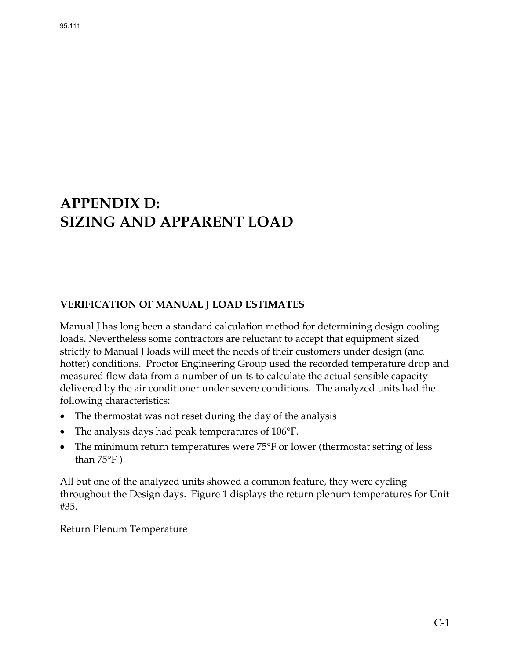# **APPENDIX D: SIZING AND APPARENT LOAD**

#### **VERIFICATION OF MANUAL J LOAD ESTIMATES**

Manual J has long been a standard calculation method for determining design cooling loads. Nevertheless some contractors are reluctant to accept that equipment sized strictly to Manual J loads will meet the needs of their customers under design (and hotter) conditions. Proctor Engineering Group used the recorded temperature drop and measured flow data from a number of units to calculate the actual sensible capacity delivered by the air conditioner under severe conditions. The analyzed units had the following characteristics:

- The thermostat was not reset during the day of the analysis
- The analysis days had peak temperatures of 106°F.
- The minimum return temperatures were 75°F or lower (thermostat setting of less than 75°F )

All but one of the analyzed units showed a common feature, they were cycling throughout the Design days. Figure 1 displays the return plenum temperatures for Unit #35.

Return Plenum Temperature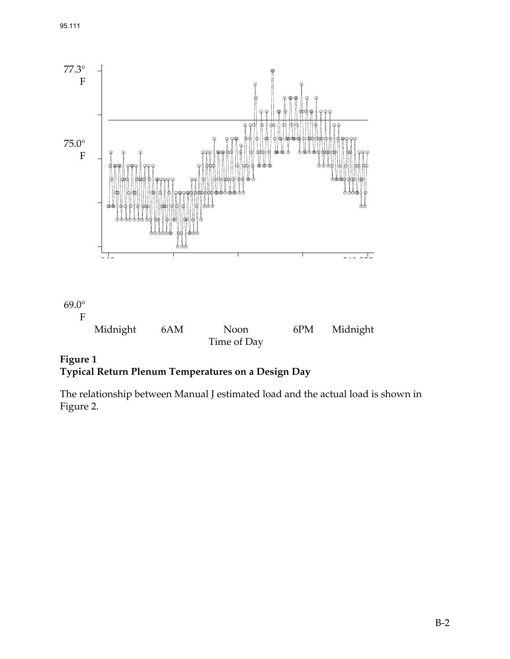

**Figure 1 Typical Return Plenum Temperatures on a Design Day** 

The relationship between Manual J estimated load and the actual load is shown in Figure 2.